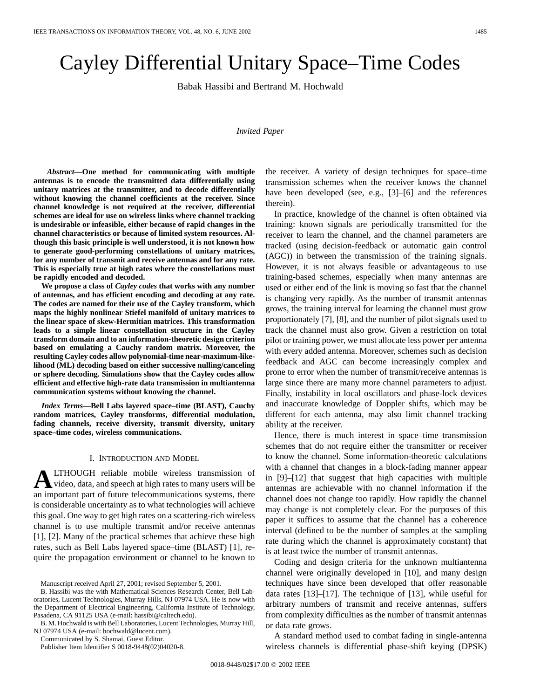# Cayley Differential Unitary Space–Time Codes

Babak Hassibi and Bertrand M. Hochwald

## *Invited Paper*

*Abstract—***One method for communicating with multiple antennas is to encode the transmitted data differentially using unitary matrices at the transmitter, and to decode differentially without knowing the channel coefficients at the receiver. Since channel knowledge is not required at the receiver, differential schemes are ideal for use on wireless links where channel tracking is undesirable or infeasible, either because of rapid changes in the channel characteristics or because of limited system resources. Although this basic principle is well understood, it is not known how to generate good-performing constellations of unitary matrices, for any number of transmit and receive antennas and for any rate. This is especially true at high rates where the constellations must be rapidly encoded and decoded.**

**We propose a class of** *Cayley codes* **that works with any number of antennas, and has efficient encoding and decoding at any rate. The codes are named for their use of the Cayley transform, which maps the highly nonlinear Stiefel manifold of unitary matrices to the linear space of skew-Hermitian matrices. This transformation leads to a simple linear constellation structure in the Cayley transform domain and to an information-theoretic design criterion based on emulating a Cauchy random matrix. Moreover, the resulting Cayley codes allow polynomial-time near-maximum-likelihood (ML) decoding based on either successive nulling/canceling or sphere decoding. Simulations show that the Cayley codes allow efficient and effective high-rate data transmission in multiantenna communication systems without knowing the channel.**

*Index Terms—***Bell Labs layered space–time (BLAST), Cauchy random matrices, Cayley transforms, differential modulation, fading channels, receive diversity, transmit diversity, unitary space–time codes, wireless communications.**

#### I. INTRODUCTION AND MODEL

**A**LTHOUGH reliable mobile wireless transmission of video, data, and speech at high rates to many users will be an important part of future telecommunications systems, there is considerable uncertainty as to what technologies will achieve this goal. One way to get high rates on a scattering-rich wireless channel is to use multiple transmit and/or receive antennas [1], [2]. Many of the practical schemes that achieve these high rates, such as Bell Labs layered space–time (BLAST) [1], require the propagation environment or channel to be known to

B. M. Hochwald is with Bell Laboratories, Lucent Technologies, Murray Hill, NJ 07974 USA (e-mail: hochwald@lucent.com).

Communicated by S. Shamai, Guest Editor.

Publisher Item Identifier S 0018-9448(02)04020-8.

the receiver. A variety of design techniques for space–time transmission schemes when the receiver knows the channel have been developed (see, e.g., [3]–[6] and the references therein).

In practice, knowledge of the channel is often obtained via training: known signals are periodically transmitted for the receiver to learn the channel, and the channel parameters are tracked (using decision-feedback or automatic gain control (AGC)) in between the transmission of the training signals. However, it is not always feasible or advantageous to use training-based schemes, especially when many antennas are used or either end of the link is moving so fast that the channel is changing very rapidly. As the number of transmit antennas grows, the training interval for learning the channel must grow proportionately [7], [8], and the number of pilot signals used to track the channel must also grow. Given a restriction on total pilot or training power, we must allocate less power per antenna with every added antenna. Moreover, schemes such as decision feedback and AGC can become increasingly complex and prone to error when the number of transmit/receive antennas is large since there are many more channel parameters to adjust. Finally, instability in local oscillators and phase-lock devices and inaccurate knowledge of Doppler shifts, which may be different for each antenna, may also limit channel tracking ability at the receiver.

Hence, there is much interest in space–time transmission schemes that do not require either the transmitter or receiver to know the channel. Some information-theoretic calculations with a channel that changes in a block-fading manner appear in [9]–[12] that suggest that high capacities with multiple antennas are achievable with no channel information if the channel does not change too rapidly. How rapidly the channel may change is not completely clear. For the purposes of this paper it suffices to assume that the channel has a coherence interval (defined to be the number of samples at the sampling rate during which the channel is approximately constant) that is at least twice the number of transmit antennas.

Coding and design criteria for the unknown multiantenna channel were originally developed in [10], and many design techniques have since been developed that offer reasonable data rates [13]–[17]. The technique of [13], while useful for arbitrary numbers of transmit and receive antennas, suffers from complexity difficulties as the number of transmit antennas or data rate grows.

A standard method used to combat fading in single-antenna wireless channels is differential phase-shift keying (DPSK)

Manuscript received April 27, 2001; revised September 5, 2001.

B. Hassibi was the with Mathematical Sciences Research Center, Bell Laboratories, Lucent Technologies, Murray Hills, NJ 07974 USA. He is now with the Department of Electrical Engineering, California Institute of Technology, Pasadena, CA 91125 USA (e-mail: hassibi@caltech.edu).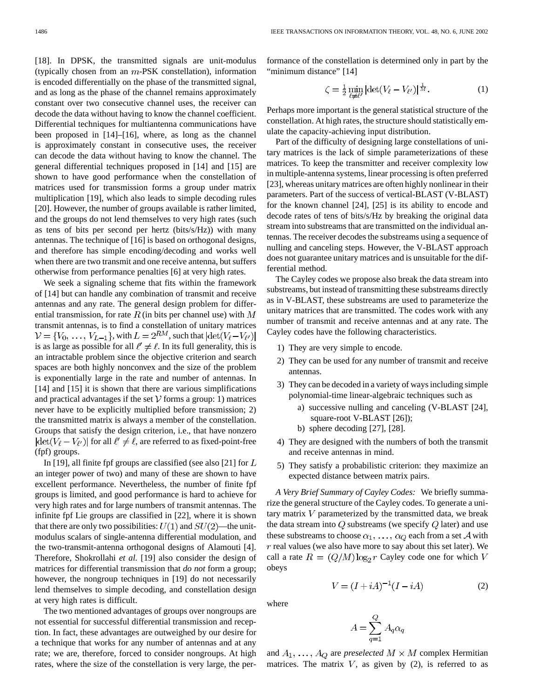[18]. In DPSK, the transmitted signals are unit-modulus (typically chosen from an  $m$ -PSK constellation), information is encoded differentially on the phase of the transmitted signal, and as long as the phase of the channel remains approximately constant over two consecutive channel uses, the receiver can decode the data without having to know the channel coefficient. Differential techniques for multiantenna communications have been proposed in [14]–[16], where, as long as the channel is approximately constant in consecutive uses, the receiver can decode the data without having to know the channel. The general differential techniques proposed in [14] and [15] are shown to have good performance when the constellation of matrices used for transmission forms a group under matrix multiplication [19], which also leads to simple decoding rules [20]. However, the number of groups available is rather limited, and the groups do not lend themselves to very high rates (such as tens of bits per second per hertz (bits/s/Hz)) with many antennas. The technique of [16] is based on orthogonal designs, and therefore has simple encoding/decoding and works well when there are two transmit and one receive antenna, but suffers otherwise from performance penalties [6] at very high rates.

We seek a signaling scheme that fits within the framework of [14] but can handle any combination of transmit and receive antennas and any rate. The general design problem for differential transmission, for rate  $R$  (in bits per channel use) with  $M$ transmit antennas, is to find a constellation of unitary matrices  $V = \{V_0, \ldots, V_{L-1}\}\$ , with  $L = 2^{RM}$ , such that  $|\text{det}(V_{\ell} - V_{\ell'})|$ is as large as possible for all  $\ell' \neq \ell$ . In its full generality, this is an intractable problem since the objective criterion and search spaces are both highly nonconvex and the size of the problem is exponentially large in the rate and number of antennas. In [14] and [15] it is shown that there are various simplifications and practical advantages if the set  $V$  forms a group: 1) matrices never have to be explicitly multiplied before transmission; 2) the transmitted matrix is always a member of the constellation. Groups that satisfy the design criterion, i.e., that have nonzero  $|\text{det}(V_{\ell} - V_{\ell'})|$  for all  $\ell' \neq \ell$ , are referred to as fixed-point-free (fpf) groups.

In [19], all finite fpf groups are classified (see also [21] for  $L$ an integer power of two) and many of these are shown to have excellent performance. Nevertheless, the number of finite fpf groups is limited, and good performance is hard to achieve for very high rates and for large numbers of transmit antennas. The infinite fpf Lie groups are classified in [22], where it is shown that there are only two possibilities:  $U(1)$  and  $SU(2)$ —the unitmodulus scalars of single-antenna differential modulation, and the two-transmit-antenna orthogonal designs of Alamouti [4]. Therefore, Shokrollahi *et al.* [19] also consider the design of matrices for differential transmission that *do not* form a group; however, the nongroup techniques in [19] do not necessarily lend themselves to simple decoding, and constellation design at very high rates is difficult.

The two mentioned advantages of groups over nongroups are not essential for successful differential transmission and reception. In fact, these advantages are outweighed by our desire for a technique that works for any number of antennas and at any rate; we are, therefore, forced to consider nongroups. At high rates, where the size of the constellation is very large, the performance of the constellation is determined only in part by the "minimum distance" [14]

$$
\zeta = \frac{1}{2} \min_{\ell \neq \ell'} |\det(V_{\ell} - V_{\ell'})|^{\frac{1}{M}}. \tag{1}
$$

Perhaps more important is the general statistical structure of the constellation. At high rates, the structure should statistically emulate the capacity-achieving input distribution.

Part of the difficulty of designing large constellations of unitary matrices is the lack of simple parameterizations of these matrices. To keep the transmitter and receiver complexity low in multiple-antenna systems, linear processing is often preferred [23], whereas unitary matrices are often highly nonlinear in their parameters. Part of the success of vertical-BLAST (V-BLAST) for the known channel [24], [25] is its ability to encode and decode rates of tens of bits/s/Hz by breaking the original data stream into substreams that are transmitted on the individual antennas. The receiver decodes the substreams using a sequence of nulling and canceling steps. However, the V-BLAST approach does not guarantee unitary matrices and is unsuitable for the differential method.

The Cayley codes we propose also break the data stream into substreams, but instead of transmitting these substreams directly as in V-BLAST, these substreams are used to parameterize the unitary matrices that are transmitted. The codes work with any number of transmit and receive antennas and at any rate. The Cayley codes have the following characteristics.

- 1) They are very simple to encode.
- 2) They can be used for any number of transmit and receive antennas.
- 3) They can be decoded in a variety of ways including simple polynomial-time linear-algebraic techniques such as
	- a) successive nulling and canceling (V-BLAST [24], square-root V-BLAST [26]);
	- b) sphere decoding [27], [28].
- 4) They are designed with the numbers of both the transmit and receive antennas in mind.
- 5) They satisfy a probabilistic criterion: they maximize an expected distance between matrix pairs.

*A Very Brief Summary of Cayley Codes:* We briefly summarize the general structure of the Cayley codes. To generate a unitary matrix  $V$  parameterized by the transmitted data, we break the data stream into  $Q$  substreams (we specify  $Q$  later) and use these substreams to choose  $\alpha_1, \ldots, \alpha_Q$  each from a set A with  $r$  real values (we also have more to say about this set later). We call a rate  $R = (Q/M) \log_2 r$  Cayley code one for which V obeys

$$
V = (I + iA)^{-1}(I - iA)
$$
 (2)

where

$$
A=\sum_{q=1}^Q A_q \alpha_q
$$

and  $A_1, \ldots, A_Q$  are *preselected*  $M \times M$  complex Hermitian matrices. The matrix  $V$ , as given by (2), is referred to as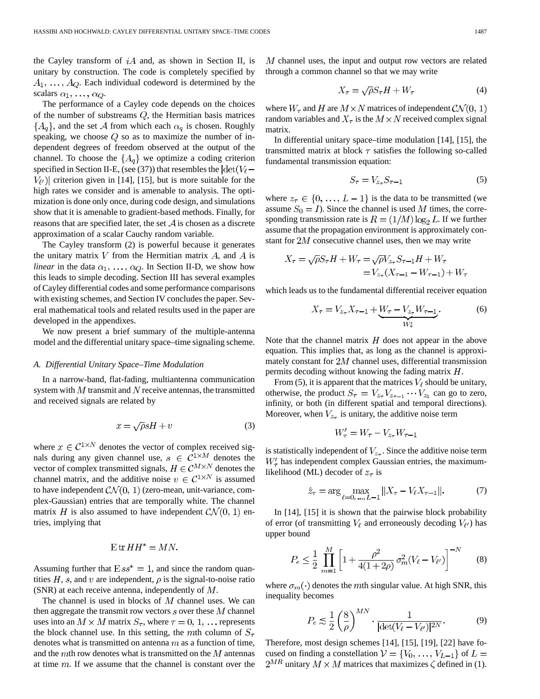the Cayley transform of  $iA$  and, as shown in Section II, is unitary by construction. The code is completely specified by  $A_1, \ldots, A_Q$ . Each individual codeword is determined by the scalars  $\alpha_1, \ldots, \alpha_Q$ .

The performance of a Cayley code depends on the choices of the number of substreams  $Q$ , the Hermitian basis matrices  $\{A_q\}$ , and the set A from which each  $\alpha_q$  is chosen. Roughly speaking, we choose  $Q$  so as to maximize the number of independent degrees of freedom observed at the output of the channel. To choose the  $\{A_q\}$  we optimize a coding criterion specified in Section II-E, (see (37)) that resembles the  $|\text{det}(V_{\ell} V_{\ell'}$ ) criterion given in [14], [15], but is more suitable for the high rates we consider and is amenable to analysis. The optimization is done only once, during code design, and simulations show that it is amenable to gradient-based methods. Finally, for reasons that are specified later, the set  $A$  is chosen as a discrete approximation of a scalar Cauchy random variable.

The Cayley transform (2) is powerful because it generates the unitary matrix  $V$  from the Hermitian matrix  $A$ , and  $A$  is *linear* in the data  $\alpha_1, \ldots, \alpha_Q$ . In Section II-D, we show how this leads to simple decoding. Section III has several examples of Cayley differential codes and some performance comparisons with existing schemes, and Section IV concludes the paper. Several mathematical tools and related results used in the paper are developed in the appendixes.

We now present a brief summary of the multiple-antenna model and the differential unitary space–time signaling scheme.

## *A. Differential Unitary Space–Time Modulation*

In a narrow-band, flat-fading, multiantenna communication system with  $M$  transmit and  $N$  receive antennas, the transmitted and received signals are related by

$$
x = \sqrt{\rho}sH + v \tag{3}
$$

where  $x \in C^{1 \times N}$  denotes the vector of complex received signals during any given channel use,  $s \in C^{1 \times M}$  denotes the vector of complex transmitted signals,  $H \in \mathcal{C}^{M \times N}$  denotes the channel matrix, and the additive noise  $v \in C^{1 \times N}$  is assumed to have independent  $\mathcal{CN}(0, 1)$  (zero-mean, unit-variance, complex-Gaussian) entries that are temporally white. The channel matrix H is also assumed to have independent  $CN(0, 1)$  entries, implying that

$$
E\operatorname{tr} HH^* = MN.
$$

Assuming further that  $Ess^* = 1$ , and since the random quantities H, s, and v are independent,  $\rho$  is the signal-to-noise ratio (SNR) at each receive antenna, independently of  $M$ .

The channel is used in blocks of  $M$  channel uses. We can then aggregate the transmit row vectors  $s$  over these  $M$  channel uses into an  $M \times M$  matrix  $S_{\tau}$ , where  $\tau = 0, 1, \ldots$  represents the block channel use. In this setting, the mth column of  $S_{\tau}$ denotes what is transmitted on antenna  $m$  as a function of time, and the  $m$ th row denotes what is transmitted on the  $M$  antennas at time  $m$ . If we assume that the channel is constant over the

 $M$  channel uses, the input and output row vectors are related through a common channel so that we may write

$$
X_{\tau} = \sqrt{\rho} S_{\tau} H + W_{\tau} \tag{4}
$$

where  $W_{\tau}$  and H are  $M \times N$  matrices of independent  $CN(0, 1)$ random variables and  $X_{\tau}$  is the  $M \times N$  received complex signal matrix.

In differential unitary space–time modulation [14], [15], the transmitted matrix at block  $\tau$  satisfies the following so-called fundamental transmission equation:

$$
S_{\tau} = V_{z_{\tau}} S_{\tau - 1} \tag{5}
$$

where  $z_{\tau} \in \{0, ..., L - 1\}$  is the data to be transmitted (we assume  $S_0 = I$ ). Since the channel is used M times, the corresponding transmission rate is  $R = (1/M) \log_2 L$ . If we further assume that the propagation environment is approximately constant for  $2M$  consecutive channel uses, then we may write

$$
X_{\tau} = \sqrt{\rho}S_{\tau}H + W_{\tau} = \sqrt{\rho}V_{z_{\tau}}S_{\tau-1}H + W_{\tau}
$$
  
=  $V_{z_{\tau}}(X_{\tau-1} - W_{\tau-1}) + W_{\tau}$ 

which leads us to the fundamental differential receiver equation

$$
X_{\tau} = V_{z_{\tau}} X_{\tau - 1} + \underbrace{W_{\tau} - V_{z_{\tau}} W_{\tau - 1}}_{W'_{\tau}}.
$$
 (6)

Note that the channel matrix  $H$  does not appear in the above equation. This implies that, as long as the channel is approximately constant for  $2M$  channel uses, differential transmission permits decoding without knowing the fading matrix  $H$ .

From (5), it is apparent that the matrices  $V_{\ell}$  should be unitary, otherwise, the product  $S_{\tau} = V_{z_{\tau}} V_{z_{\tau-1}} \cdots V_{z_1}$  can go to zero, infinity, or both (in different spatial and temporal directions). Moreover, when  $V_{z_{\tau}}$  is unitary, the additive noise term

$$
W'_{\tau} = W_{\tau} - V_{z_{\tau}} W_{\tau-1}
$$

is statistically independent of  $V_{z_{\tau}}$ . Since the additive noise term  $W_{\tau}$  has independent complex Gaussian entries, the maximumlikelihood (ML) decoder of  $z_{\tau}$  is

$$
\hat{z}_{\tau} = \arg \max_{\ell=0, ..., L-1} ||X_{\tau} - V_{\ell} X_{\tau-1}||. \tag{7}
$$

In [14], [15] it is shown that the pairwise block probability of error (of transmitting  $V_{\ell}$  and erroneously decoding  $V_{\ell'}$ ) has upper bound

$$
P_e \le \frac{1}{2} \prod_{m=1}^{M} \left[ 1 + \frac{\rho^2}{4(1+2\rho)} \sigma_m^2 (V_\ell - V_{\ell'}) \right]^{-N} \tag{8}
$$

where  $\sigma_m(\cdot)$  denotes the mth singular value. At high SNR, this inequality becomes

$$
P_e \lesssim \frac{1}{2} \left(\frac{8}{\rho}\right)^{MN} \cdot \frac{1}{|\det(V_\ell - V_{\ell'})|^{2N}}.\tag{9}
$$

Therefore, most design schemes [14], [15], [19], [22] have focused on finding a constellation  $V = \{V_0, \ldots, V_{L-1}\}\$  of  $L =$  $2^{MR}$  unitary  $M \times M$  matrices that maximizes  $\zeta$  defined in (1).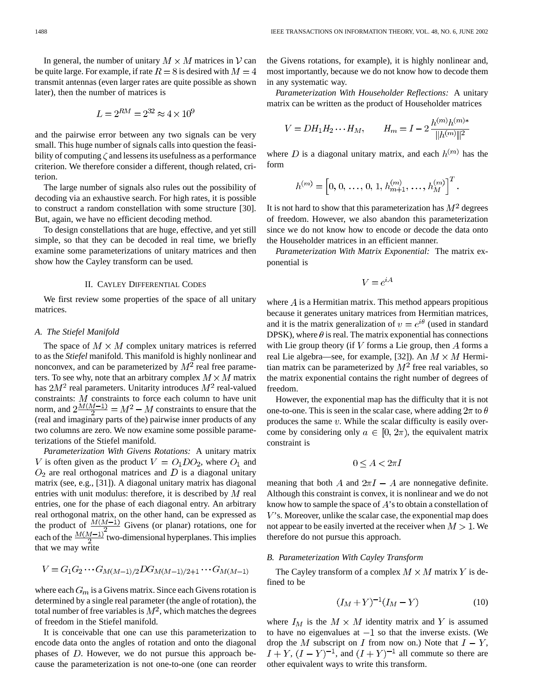In general, the number of unitary  $M \times M$  matrices in V can be quite large. For example, if rate  $R = 8$  is desired with  $M = 4$ transmit antennas (even larger rates are quite possible as shown later), then the number of matrices is

$$
L = 2^{RM} = 2^{32} \approx 4 \times 10^9
$$

and the pairwise error between any two signals can be very small. This huge number of signals calls into question the feasibility of computing  $\zeta$  and lessens its usefulness as a performance criterion. We therefore consider a different, though related, criterion.

The large number of signals also rules out the possibility of decoding via an exhaustive search. For high rates, it is possible to construct a random constellation with some structure [30]. But, again, we have no efficient decoding method.

To design constellations that are huge, effective, and yet still simple, so that they can be decoded in real time, we briefly examine some parameterizations of unitary matrices and then show how the Cayley transform can be used.

## II. CAYLEY DIFFERENTIAL CODES

We first review some properties of the space of all unitary matrices.

## *A. The Stiefel Manifold*

The space of  $M \times M$  complex unitary matrices is referred to as the *Stiefel* manifold. This manifold is highly nonlinear and nonconvex, and can be parameterized by  $M^2$  real free parameters. To see why, note that an arbitrary complex  $M \times M$  matrix has  $2M^2$  real parameters. Unitarity introduces  $M^2$  real-valued constraints:  $M$  constraints to force each column to have unit norm, and  $2\frac{M(M-1)}{2} = M^2 - M$  constraints to ensure that the (real and imaginary parts of the) pairwise inner products of any two columns are zero. We now examine some possible parameterizations of the Stiefel manifold.

*Parameterization With Givens Rotations:* A unitary matrix V is often given as the product  $V = O_1DO_2$ , where  $O_1$  and  $O_2$  are real orthogonal matrices and D is a diagonal unitary matrix (see, e.g., [31]). A diagonal unitary matrix has diagonal entries with unit modulus: therefore, it is described by  $M$  real entries, one for the phase of each diagonal entry. An arbitrary real orthogonal matrix, on the other hand, can be expressed as the product of  $\frac{M(M-1)}{2}$  Givens (or planar) rotations, one for each of the  $\frac{M(M-1)}{2}$  two-dimensional hyperplanes. This implies that we may write

$$
V = G_1 G_2 \cdots G_{M(M-1)/2} D G_{M(M-1)/2+1} \cdots G_{M(M-1)}
$$

where each  $G_m$  is a Givens matrix. Since each Givens rotation is determined by a single real parameter (the angle of rotation), the total number of free variables is  $M^2$ , which matches the degrees of freedom in the Stiefel manifold.

It is conceivable that one can use this parameterization to encode data onto the angles of rotation and onto the diagonal phases of  $D$ . However, we do not pursue this approach because the parameterization is not one-to-one (one can reorder the Givens rotations, for example), it is highly nonlinear and, most importantly, because we do not know how to decode them in any systematic way.

*Parameterization With Householder Reflections:* A unitary matrix can be written as the product of Householder matrices

$$
V = DH_1 H_2 \cdots H_M, \qquad H_m = I - 2 \frac{h^{(m)} h^{(m)*}}{\|h^{(m)}\|^2}
$$

where D is a diagonal unitary matrix, and each  $h^{(m)}$  has the form

$$
h^{(m)} = \left[0, 0, \ldots, 0, 1, h_{m+1}^{(m)}, \ldots, h_M^{(m)}\right]^T
$$

It is not hard to show that this parameterization has  $M<sup>2</sup>$  degrees of freedom. However, we also abandon this parameterization since we do not know how to encode or decode the data onto the Householder matrices in an efficient manner.

*Parameterization With Matrix Exponential:* The matrix exponential is

$$
V=e^{iA}
$$

where  $\vec{A}$  is a Hermitian matrix. This method appears propitious because it generates unitary matrices from Hermitian matrices, and it is the matrix generalization of  $v = e^{i\theta}$  (used in standard DPSK), where  $\theta$  is real. The matrix exponential has connections with Lie group theory (if  $V$  forms a Lie group, then  $A$  forms a real Lie algebra—see, for example, [32]). An  $M \times M$  Hermitian matrix can be parameterized by  $M^2$  free real variables, so the matrix exponential contains the right number of degrees of freedom.

However, the exponential map has the difficulty that it is not one-to-one. This is seen in the scalar case, where adding  $2\pi$  to  $\theta$ produces the same  $v$ . While the scalar difficulty is easily overcome by considering only  $a \in [0, 2\pi)$ , the equivalent matrix constraint is

$$
0 \le A < 2\pi I
$$

meaning that both A and  $2\pi I - A$  are nonnegative definite. Although this constraint is convex, it is nonlinear and we do not know how to sample the space of  $A$ 's to obtain a constellation of  $V$ 's. Moreover, unlike the scalar case, the exponential map does not appear to be easily inverted at the receiver when  $M > 1$ . We therefore do not pursue this approach.

# *B. Parameterization With Cayley Transform*

The Cayley transform of a complex  $M \times M$  matrix Y is defined to be

$$
(I_M + Y)^{-1}(I_M - Y) \tag{10}
$$

where  $I_M$  is the  $M \times M$  identity matrix and Y is assumed to have no eigenvalues at  $-1$  so that the inverse exists. (We drop the M subscript on I from now on.) Note that  $I - Y$ ,  $I + Y$ ,  $(I - Y)^{-1}$ , and  $(I + Y)^{-1}$  all commute so there are other equivalent ways to write this transform.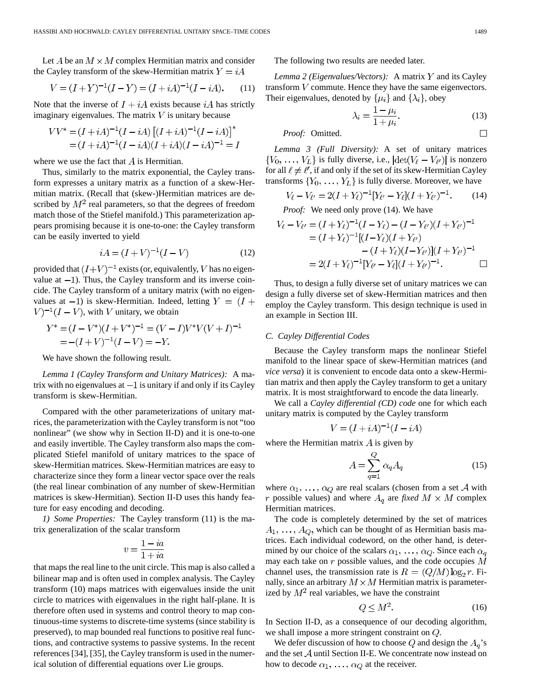Let A be an  $M \times M$  complex Hermitian matrix and consider the Cayley transform of the skew-Hermitian matrix  $Y = iA$ 

$$
V = (I + Y)^{-1}(I - Y) = (I + iA)^{-1}(I - iA). \tag{11}
$$

Note that the inverse of  $I + iA$  exists because  $iA$  has strictly imaginary eigenvalues. The matrix  $V$  is unitary because

$$
VV^* = (I + iA)^{-1}(I - iA)\left[ (I + iA)^{-1}(I - iA) \right]^*
$$
  
=  $(I + iA)^{-1}(I - iA)(I + iA)(I - iA)^{-1} = I$ 

where we use the fact that  $A$  is Hermitian.

Thus, similarly to the matrix exponential, the Cayley transform expresses a unitary matrix as a function of a skew-Hermitian matrix. (Recall that (skew-)Hermitian matrices are described by  $M^2$  real parameters, so that the degrees of freedom match those of the Stiefel manifold.) This parameterization appears promising because it is one-to-one: the Cayley transform can be easily inverted to yield

$$
iA = (I + V)^{-1}(I - V)
$$
 (12)

provided that  $(I+V)^{-1}$  exists (or, equivalently, V has no eigenvalue at  $-1$ ). Thus, the Cayley transform and its inverse coincide. The Cayley transform of a unitary matrix (with no eigenvalues at  $-1$ ) is skew-Hermitian. Indeed, letting  $Y = (I +$  $V$ )<sup>-1</sup>(*I* – *V*), with *V* unitary, we obtain

$$
Y^* = (I - V^*)(I + V^*)^{-1} = (V - I)V^*V(V + I)^{-1}
$$
  
= -(I + V)<sup>-1</sup>(I – V) = –Y.

We have shown the following result.

*Lemma 1 (Cayley Transform and Unitary Matrices):* A matrix with no eigenvalues at  $-1$  is unitary if and only if its Cayley transform is skew-Hermitian.

Compared with the other parameterizations of unitary matrices, the parameterization with the Cayley transform is not "too nonlinear" (we show why in Section II-D) and it is one-to-one and easily invertible. The Cayley transform also maps the complicated Stiefel manifold of unitary matrices to the space of skew-Hermitian matrices. Skew-Hermitian matrices are easy to characterize since they form a linear vector space over the reals (the real linear combination of any number of skew-Hermitian matrices is skew-Hermitian). Section II-D uses this handy feature for easy encoding and decoding.

*1) Some Properties:* The Cayley transform (11) is the matrix generalization of the scalar transform

$$
v = \frac{1 - ia}{1 + ia}
$$

that maps the real line to the unit circle. This map is also called a bilinear map and is often used in complex analysis. The Cayley transform (10) maps matrices with eigenvalues inside the unit circle to matrices with eigenvalues in the right half-plane. It is therefore often used in systems and control theory to map continuous-time systems to discrete-time systems (since stability is preserved), to map bounded real functions to positive real functions, and contractive systems to passive systems. In the recent references [34], [35], the Cayley transform is used in the numerical solution of differential equations over Lie groups.

The following two results are needed later.

*Lemma 2 (Eigenvalues/Vectors):* A matrix Y and its Cayley transform  $V$  commute. Hence they have the same eigenvectors. Their eigenvalues, denoted by  $\{\mu_i\}$  and  $\{\lambda_i\}$ , obey

$$
\lambda_i = \frac{1 - \mu_i}{1 + \mu_i}.\tag{13}
$$

*Proof:* Omitted.

*Lemma 3 (Full Diversity):* A set of unitary matrices  $\{V_0, \ldots, V_L\}$  is fully diverse, i.e.,  $|\text{det}(V_\ell - V_{\ell'})|$  is nonzero for all  $\ell \neq \ell'$ , if and only if the set of its skew-Hermitian Cayley transforms  $\{Y_0, \ldots, Y_L\}$  is fully diverse. Moreover, we have

$$
V_{\ell} - V_{\ell'} = 2(I + Y_{\ell})^{-1} [Y_{\ell'} - Y_{\ell}](I + Y_{\ell'})^{-1}.
$$
 (14)

*Proof:* We need only prove (14). We have

$$
V_{\ell} - V_{\ell'} = (I + Y_{\ell})^{-1} (I - Y_{\ell}) - (I - Y_{\ell'}) (I + Y_{\ell'})^{-1}
$$
  
=  $(I + Y_{\ell})^{-1} [(I - Y_{\ell})(I + Y_{\ell'})$   
 $-(I + Y_{\ell})(I - Y_{\ell'})](I + Y_{\ell'})^{-1}$   
=  $2(I + Y_{\ell})^{-1} [Y_{\ell'} - Y_{\ell}](I + Y_{\ell'})^{-1}.$ 

Thus, to design a fully diverse set of unitary matrices we can design a fully diverse set of skew-Hermitian matrices and then employ the Cayley transform. This design technique is used in an example in Section III.

# *C. Cayley Differential Codes*

Because the Cayley transform maps the nonlinear Stiefel manifold to the linear space of skew-Hermitian matrices (and *vice versa*) it is convenient to encode data onto a skew-Hermitian matrix and then apply the Cayley transform to get a unitary matrix. It is most straightforward to encode the data linearly.

We call a *Cayley differential (CD) code* one for which each unitary matrix is computed by the Cayley transform

$$
V = (I + iA)^{-1}(I - iA)
$$

where the Hermitian matrix  $\vec{A}$  is given by

$$
A = \sum_{q=1}^{Q} \alpha_q A_q \tag{15}
$$

where  $\alpha_1, \ldots, \alpha_Q$  are real scalars (chosen from a set A with r possible values) and where  $A_q$  are *fixed*  $M \times M$  complex Hermitian matrices.

The code is completely determined by the set of matrices  $A_1, \ldots, A_O$ , which can be thought of as Hermitian basis matrices. Each individual codeword, on the other hand, is determined by our choice of the scalars  $\alpha_1, \ldots, \alpha_Q$ . Since each  $\alpha_q$ may each take on  $r$  possible values, and the code occupies  $M$ channel uses, the transmission rate is  $R = (Q/M) \log_2 r$ . Finally, since an arbitrary  $M \times M$  Hermitian matrix is parameterized by  $M^2$  real variables, we have the constraint

$$
Q \le M^2. \tag{16}
$$

In Section II-D, as a consequence of our decoding algorithm, we shall impose a more stringent constraint on  $Q$ .

We defer discussion of how to choose Q and design the  $A_q$ 's and the set  $A$  until Section II-E. We concentrate now instead on how to decode  $\alpha_1, \ldots, \alpha_Q$  at the receiver.

 $\Box$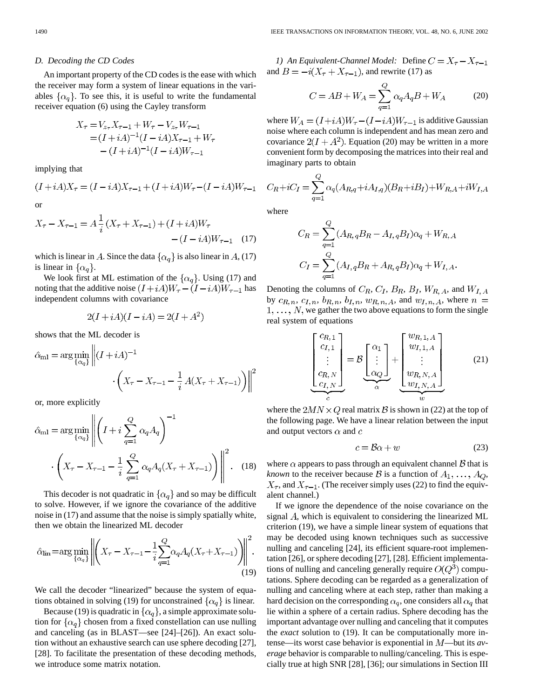## *D. Decoding the CD Codes*

An important property of the CD codes is the ease with which the receiver may form a system of linear equations in the variables  $\{\alpha_q\}$ . To see this, it is useful to write the fundamental receiver equation (6) using the Cayley transform

$$
X_{\tau} = V_{z_{\tau}} X_{\tau-1} + W_{\tau} - V_{z_{\tau}} W_{\tau-1}
$$
  
=  $(I + iA)^{-1} (I - iA) X_{\tau-1} + W_{\tau}$   
 $- (I + iA)^{-1} (I - iA) W_{\tau-1}$ 

implying that

$$
(I+iA)X_{\tau}=(I-iA)X_{\tau-1}+(I+iA)W_{\tau}-(I-iA)W_{\tau-1}
$$
 or

$$
X_{\tau} - X_{\tau - 1} = A \frac{1}{i} (X_{\tau} + X_{\tau - 1}) + (I + iA)W_{\tau}
$$

$$
- (I - iA)W_{\tau - 1} \quad (17)
$$

which is linear in A. Since the data  $\{\alpha_q\}$  is also linear in A, (17) is linear in  $\{\alpha_a\}$ .

We look first at ML estimation of the  $\{\alpha_q\}$ . Using (17) and noting that the additive noise  $(I + iA)W_{\tau} - (I - iA)W_{\tau-1}$  has independent columns with covariance

$$
2(I + iA)(I - iA) = 2(I + A^2)
$$

shows that the ML decoder is  $\overline{11}$ 

$$
\hat{\alpha}_{\text{ml}} = \arg\min_{\{\alpha_q\}} \left\| (I + iA)^{-1} \cdot \left( X_\tau - X_{\tau-1} - \frac{1}{i} A (X_\tau + X_{\tau-1}) \right) \right\|^2
$$

or, more explicitly

$$
\hat{\alpha}_{\text{ml}} = \arg\min_{\{\alpha_q\}} \left\| \left( I + i \sum_{q=1}^Q \alpha_q A_q \right)^{-1} \right\|
$$

$$
\cdot \left( X_\tau - X_{\tau-1} - \frac{1}{i} \sum_{q=1}^Q \alpha_q A_q (X_\tau + X_{\tau-1}) \right) \right\|^2. \quad (18)
$$

This decoder is not quadratic in  $\{\alpha_q\}$  and so may be difficult to solve. However, if we ignore the covariance of the additive noise in (17) and assume that the noise is simply spatially white, then we obtain the linearized ML decoder

$$
\hat{\alpha}_{\text{lin}} = \arg \min_{\{\alpha_q\}} \left\| \left( X_\tau - X_{\tau-1} - \frac{1}{i} \sum_{q=1}^Q \alpha_q A_q (X_\tau + X_{\tau-1}) \right) \right\|^2.
$$
\n(19)

We call the decoder "linearized" because the system of equations obtained in solving (19) for unconstrained  $\{\alpha_q\}$  is linear.

Because (19) is quadratic in  $\{\alpha_q\}$ , a simple approximate solution for  $\{\alpha_q\}$  chosen from a fixed constellation can use nulling and canceling (as in BLAST—see [24]–[26]). An exact solution without an exhaustive search can use sphere decoding [27], [28]. To facilitate the presentation of these decoding methods, we introduce some matrix notation.

*1)* An Equivalent-Channel Model: Define  $C = X_{\tau} - X_{\tau-1}$ and  $B = -i(X_{\tau} + X_{\tau-1})$ , and rewrite (17) as

$$
C = AB + W_A = \sum_{q=1}^{Q} \alpha_q A_q B + W_A \tag{20}
$$

where  $W_A = (I + iA)W_{\tau} - (I - iA)W_{\tau-1}$  is additive Gaussian noise where each column is independent and has mean zero and covariance  $2(I + A^2)$ . Equation (20) may be written in a more convenient form by decomposing the matrices into their real and imaginary parts to obtain

$$
C_R + iC_I = \sum_{q=1}^{Q} \alpha_q (A_{R,q} + iA_{I,q})(B_R + iB_I) + W_{R,A} + iW_{I,A}
$$

where

$$
C_R = \sum_{q=1}^{Q} (A_{R,q}B_R - A_{I,q}B_I)\alpha_q + W_{R,A}
$$
  

$$
C_I = \sum_{q=1}^{Q} (A_{I,q}B_R + A_{R,q}B_I)\alpha_q + W_{I,A}.
$$

Denoting the columns of  $C_R$ ,  $C_I$ ,  $B_R$ ,  $B_I$ ,  $W_{R,A}$ , and  $W_{I,A}$ by  $c_{R,n}, c_{I,n}, b_{R,n}, b_{I,n}, w_{R,n,A}$ , and  $w_{I,n,A}$ , where  $n =$  $1, \ldots, N$ , we gather the two above equations to form the single real system of equations

$$
\underbrace{\begin{bmatrix} c_{R,1} \\ c_{I,1} \\ \vdots \\ c_{R,N} \\ c_{I,N} \end{bmatrix}}_{c} = \mathcal{B} \underbrace{\begin{bmatrix} \alpha_1 \\ \vdots \\ \alpha_Q \end{bmatrix}}_{\alpha} + \underbrace{\begin{bmatrix} w_{R,1,A} \\ w_{I,1,A} \\ \vdots \\ w_{R,N,A} \\ w_{I,N,A} \end{bmatrix}}_{w}
$$
 (21)

where the  $2MN \times Q$  real matrix B is shown in (22) at the top of the following page. We have a linear relation between the input and output vectors  $\alpha$  and  $c$ 

$$
c = \mathcal{B}\alpha + w \tag{23}
$$

where  $\alpha$  appears to pass through an equivalent channel  $\beta$  that is *known* to the receiver because B is a function of  $A_1, \ldots, A_Q$ ,  $X_{\tau}$ , and  $X_{\tau-1}$ . (The receiver simply uses (22) to find the equivalent channel.)

If we ignore the dependence of the noise covariance on the signal  $A$ , which is equivalent to considering the linearized ML criterion (19), we have a simple linear system of equations that may be decoded using known techniques such as successive nulling and canceling [24], its efficient square-root implementation [26], or sphere decoding [27], [28]. Efficient implementations of nulling and canceling generally require  $O(Q^3)$  computations. Sphere decoding can be regarded as a generalization of nulling and canceling where at each step, rather than making a hard decision on the corresponding  $\alpha_q$ , one considers all  $\alpha_q$  that lie within a sphere of a certain radius. Sphere decoding has the important advantage over nulling and canceling that it computes the *exact* solution to (19). It can be computationally more intense—its worst case behavior is exponential in *M*—but its *average* behavior is comparable to nulling/canceling. This is especially true at high SNR [28], [36]; our simulations in Section III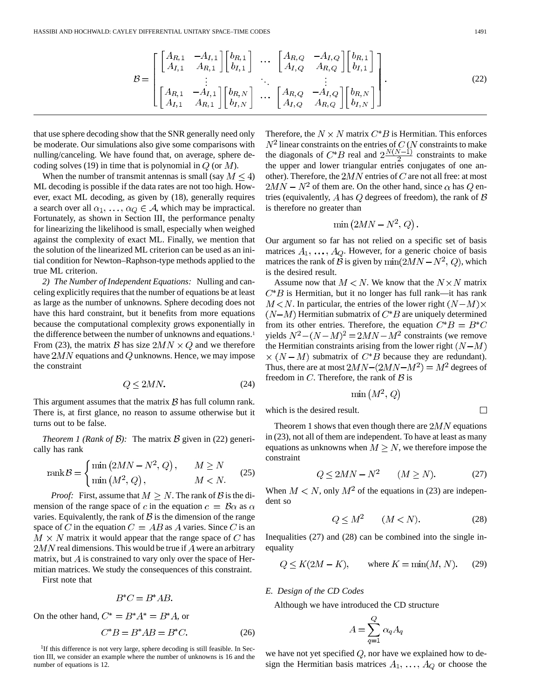$$
\mathcal{B} = \begin{bmatrix} \begin{bmatrix} A_{R,1} & -A_{I,1} \\ A_{I,1} & A_{R,1} \end{bmatrix} \begin{bmatrix} b_{R,1} \\ b_{I,1} \end{bmatrix} & \cdots & \begin{bmatrix} A_{R,Q} & -A_{I,Q} \\ A_{I,Q} & A_{R,Q} \end{bmatrix} \begin{bmatrix} b_{R,1} \\ b_{I,1} \end{bmatrix} \\ \vdots & \ddots & \vdots \\ \begin{bmatrix} A_{R,1} & -A_{I,1} \\ A_{I,1} & A_{R,1} \end{bmatrix} \begin{bmatrix} b_{R,N} \\ b_{I,N} \end{bmatrix} & \cdots & \begin{bmatrix} A_{R,Q} & -A_{I,Q} \\ A_{I,Q} & A_{R,Q} \end{bmatrix} \begin{bmatrix} b_{R,N} \\ b_{I,N} \end{bmatrix} \end{bmatrix} . \tag{22}
$$

that use sphere decoding show that the SNR generally need only be moderate. Our simulations also give some comparisons with nulling/canceling. We have found that, on average, sphere decoding solves (19) in time that is polynomial in  $Q$  (or  $M$ ).

When the number of transmit antennas is small (say  $M \leq 4$ ) ML decoding is possible if the data rates are not too high. However, exact ML decoding, as given by (18), generally requires a search over all  $\alpha_1, \ldots, \alpha_Q \in A$ , which may be impractical. Fortunately, as shown in Section III, the performance penalty for linearizing the likelihood is small, especially when weighed against the complexity of exact ML. Finally, we mention that the solution of the linearized ML criterion can be used as an initial condition for Newton–Raphson-type methods applied to the true ML criterion.

*2) The Number of Independent Equations:* Nulling and canceling explicitly requires that the number of equations be at least as large as the number of unknowns. Sphere decoding does not have this hard constraint, but it benefits from more equations because the computational complexity grows exponentially in the difference between the number of unknowns and equations.<sup>1</sup> From (23), the matrix B has size  $2MN \times Q$  and we therefore have  $2MN$  equations and Q unknowns. Hence, we may impose the constraint

$$
Q \le 2MN.\tag{24}
$$

This argument assumes that the matrix  $\beta$  has full column rank. There is, at first glance, no reason to assume otherwise but it turns out to be false.

*Theorem 1 (Rank of B)*: The matrix B given in (22) generically has rank

$$
rank \mathcal{B} = \begin{cases} \min\left(2MN - N^2, Q\right), & M \ge N\\ \min\left(M^2, Q\right), & M < N. \end{cases} \tag{25}
$$

*Proof:* First, assume that  $M \geq N$ . The rank of  $\beta$  is the dimension of the range space of c in the equation  $c = \mathcal{B}\alpha$  as  $\alpha$ varies. Equivalently, the rank of  $\beta$  is the dimension of the range space of C in the equation  $C = AB$  as A varies. Since C is an  $M \times N$  matrix it would appear that the range space of C has  $2MN$  real dimensions. This would be true if  $A$  were an arbitrary matrix, but  $\vec{A}$  is constrained to vary only over the space of Hermitian matrices. We study the consequences of this constraint.

First note that

$$
B^*C=B^*AB.
$$

On the other hand,  $C^* = B^*A^* = B^*A$ , or

$$
C^*B = B^*AB = B^*C.
$$
 (26)

<sup>1</sup>If this difference is not very large, sphere decoding is still feasible. In Section III, we consider an example where the number of unknowns is 16 and the number of equations is 12.

Therefore, the  $N \times N$  matrix  $C^*B$  is Hermitian. This enforces linear constraints on the entries of  $C\left( N \right.$  constraints to make the diagonals of  $C^*B$  real and  $2\frac{N(N-1)}{2}$  constraints to make the upper and lower triangular entries conjugates of one another). Therefore, the  $2MN$  entries of C are not all free: at most  $2MN - N^2$  of them are. On the other hand, since  $\alpha$  has Q entries (equivalently, A has  $Q$  degrees of freedom), the rank of  $B$ is therefore no greater than

$$
\min\left(2MN - N^2, Q\right)
$$

Our argument so far has not relied on a specific set of basis matrices  $A_1, \ldots, A_Q$ . However, for a generic choice of basis matrices the rank of B is given by  $\min(2MN - N^2, Q)$ , which is the desired result.

Assume now that  $M < N$ . We know that the  $N \times N$  matrix  $C^*B$  is Hermitian, but it no longer has full rank—it has rank  $M \lt N$ . In particular, the entries of the lower right  $(N-M) \times$  $(N-M)$  Hermitian submatrix of  $C^*B$  are uniquely determined from its other entries. Therefore, the equation  $C^*B = B^*C$ yields  $N^2 - (N - M)^2 = 2MN - M^2$  constraints (we remove the Hermitian constraints arising from the lower right  $(N-M)$  $\times (N-M)$  submatrix of  $C^*B$  because they are redundant). Thus, there are at most  $2MN-(2MN-M^2) = M^2$  degrees of freedom in  $C$ . Therefore, the rank of  $\beta$  is

$$
\min\left(M^2,Q\right)
$$

which is the desired result.

Theorem 1 shows that even though there are  $2MN$  equations in (23), not all of them are independent. To have at least as many equations as unknowns when  $M \geq N$ , we therefore impose the constraint

$$
Q \le 2MN - N^2 \qquad (M \ge N). \tag{27}
$$

When  $M < N$ , only  $M^2$  of the equations in (23) are independent so

$$
Q \le M^2 \qquad (M < N). \tag{28}
$$

Inequalities (27) and (28) can be combined into the single inequality

$$
Q \le K(2M - K), \qquad \text{where } K = \min(M, N). \tag{29}
$$

*E. Design of the CD Codes*

Although we have introduced the CD structure

$$
A=\sum_{q=1}^Q\,\alpha_q A_q
$$

we have not yet specified  $Q$ , nor have we explained how to design the Hermitian basis matrices  $A_1, \ldots, A_Q$  or choose the

 $\Box$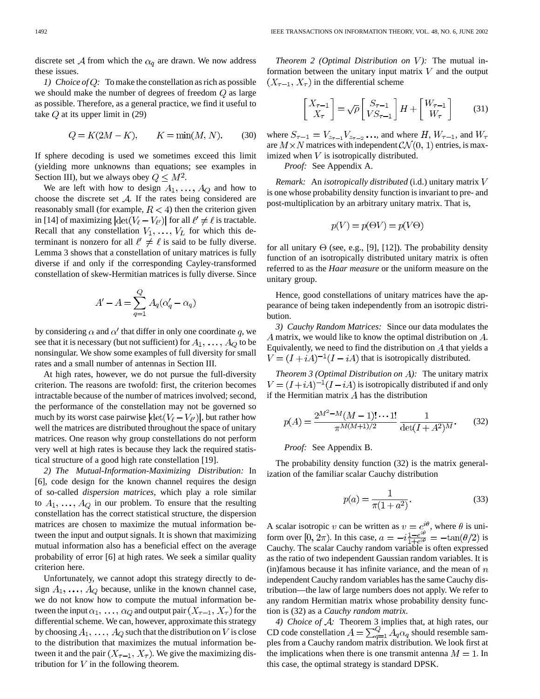discrete set A from which the  $\alpha_q$  are drawn. We now address these issues.

*1) Choice of Q:* To make the constellation as rich as possible we should make the number of degrees of freedom  $Q$  as large as possible. Therefore, as a general practice, we find it useful to take  $Q$  at its upper limit in (29)

$$
Q = K(2M - K), \qquad K = \min(M, N). \tag{30}
$$

If sphere decoding is used we sometimes exceed this limit (yielding more unknowns than equations; see examples in Section III), but we always obey  $Q \leq M^2$ .

We are left with how to design  $A_1, \ldots, A_Q$  and how to choose the discrete set  $A$ . If the rates being considered are reasonably small (for example,  $R < 4$ ) then the criterion given in [14] of maximizing  $|\text{det}(V_{\ell} - V_{\ell'})|$  for all  $\ell' \neq \ell$  is tractable. Recall that any constellation  $V_1, \ldots, V_L$  for which this determinant is nonzero for all  $\ell' \neq \ell$  is said to be fully diverse. Lemma 3 shows that a constellation of unitary matrices is fully diverse if and only if the corresponding Cayley-transformed constellation of skew-Hermitian matrices is fully diverse. Since

$$
A' - A = \sum_{q=1}^{Q} A_q(\alpha'_q - \alpha_q)
$$

by considering  $\alpha$  and  $\alpha'$  that differ in only one coordinate q, we see that it is necessary (but not sufficient) for  $A_1, \ldots, A_Q$  to be nonsingular. We show some examples of full diversity for small rates and a small number of antennas in Section III.

At high rates, however, we do not pursue the full-diversity criterion. The reasons are twofold: first, the criterion becomes intractable because of the number of matrices involved; second, the performance of the constellation may not be governed so much by its worst case pairwise  $|\text{det}(V_{\ell} - V_{\ell'})|$ , but rather how well the matrices are distributed throughout the space of unitary matrices. One reason why group constellations do not perform very well at high rates is because they lack the required statistical structure of a good high rate constellation [19].

*2) The Mutual-Information-Maximizing Distribution:* In [6], code design for the known channel requires the design of so-called *dispersion matrices*, which play a role similar to  $A_1, \ldots, A_Q$  in our problem. To ensure that the resulting constellation has the correct statistical structure, the dispersion matrices are chosen to maximize the mutual information between the input and output signals. It is shown that maximizing mutual information also has a beneficial effect on the average probability of error [6] at high rates. We seek a similar quality criterion here.

Unfortunately, we cannot adopt this strategy directly to design  $A_1, \ldots, A_O$  because, unlike in the known channel case, we do not know how to compute the mutual information between the input  $\alpha_1, \ldots, \alpha_Q$  and output pair  $(X_{\tau-1}, X_{\tau})$  for the differential scheme. We can, however, approximate this strategy by choosing  $A_1, \ldots, A_Q$  such that the distribution on V is close to the distribution that maximizes the mutual information between it and the pair  $(X_{\tau-1}, X_{\tau})$ . We give the maximizing distribution for  $V$  in the following theorem.

*Theorem 2 (Optimal Distribution on V):* The mutual information between the unitary input matrix  $V$  and the output  $(X_{\tau-1}, X_{\tau})$  in the differential scheme

$$
\begin{bmatrix} X_{\tau-1} \\ X_{\tau} \end{bmatrix} = \sqrt{\rho} \begin{bmatrix} S_{\tau-1} \\ VS_{\tau-1} \end{bmatrix} H + \begin{bmatrix} W_{\tau-1} \\ W_{\tau} \end{bmatrix}
$$
 (31)

where  $S_{\tau-1} = V_{z_{\tau-1}} V_{z_{\tau-2}} \dots$ , and where  $H, W_{\tau-1}$ , and  $W_{\tau}$ are  $M \times N$  matrices with independent  $CN(0, 1)$  entries, is maximized when  $V$  is isotropically distributed.

*Proof:* See Appendix A.

*Remark:* An *isotropically distributed* (i.d.) unitary matrix is one whose probability density function is invariant to pre- and post-multiplication by an arbitrary unitary matrix. That is,

$$
p(V) = p(\Theta V) = p(V\Theta)
$$

for all unitary  $\Theta$  (see, e.g., [9], [12]). The probability density function of an isotropically distributed unitary matrix is often referred to as the *Haar measure* or the uniform measure on the unitary group.

Hence, good constellations of unitary matrices have the appearance of being taken independently from an isotropic distribution.

*3) Cauchy Random Matrices:* Since our data modulates the A matrix, we would like to know the optimal distribution on  $A$ . Equivalently, we need to find the distribution on  $A$  that yields a  $V = (I + iA)^{-1}(I - iA)$  that is isotropically distributed.

*Theorem 3 (Optimal Distribution on A):* The unitary matrix  $V = (I + iA)^{-1}(I - iA)$  is isotropically distributed if and only if the Hermitian matrix  $A$  has the distribution

$$
p(A) = \frac{2^{M^2 - M}(M - 1)! \cdots 1!}{\pi^{M(M+1)/2}} \frac{1}{\det(I + A^2)^M}.
$$
 (32)

# *Proof:* See Appendix B.

The probability density function (32) is the matrix generalization of the familiar scalar Cauchy distribution

$$
p(a) = \frac{1}{\pi(1 + a^2)}.\t(33)
$$

A scalar isotropic v can be written as  $v = e^{i\theta}$ , where  $\theta$  is uniform over  $[0, 2\pi)$ . In this case,  $a = -i\frac{1-e^{i\theta}}{1+e^{i\theta}} = -\tan(\theta/2)$  is Cauchy. The scalar Cauchy random variable is often expressed as the ratio of two independent Gaussian random variables. It is (in)famous because it has infinite variance, and the mean of  $n$ independent Cauchy random variables has the same Cauchy distribution—the law of large numbers does not apply. We refer to any random Hermitian matrix whose probability density function is (32) as a *Cauchy random matrix*.

*4) Choice of A:* Theorem 3 implies that, at high rates, our CD code constellation  $A = \sum_{q=1}^{Q} A_q \alpha_q$  should resemble samples from a Cauchy random matrix distribution. We look first at the implications when there is one transmit antenna  $M = 1$ . In this case, the optimal strategy is standard DPSK.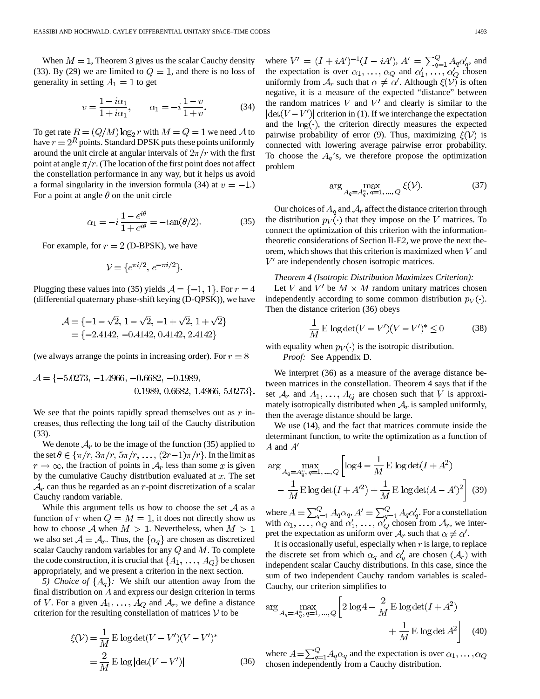When  $M = 1$ , Theorem 3 gives us the scalar Cauchy density (33). By (29) we are limited to  $Q = 1$ , and there is no loss of generality in setting  $A_1 = 1$  to get

$$
v = \frac{1 - i\alpha_1}{1 + i\alpha_1}, \qquad \alpha_1 = -i\frac{1 - v}{1 + v}.
$$
 (34)

To get rate  $R = (Q/M) \log_2 r$  with  $M = Q = 1$  we need A to have  $r = 2<sup>R</sup>$  points. Standard DPSK puts these points uniformly around the unit circle at angular intervals of  $2\pi/r$  with the first point at angle  $\pi/r$ . (The location of the first point does not affect the constellation performance in any way, but it helps us avoid a formal singularity in the inversion formula (34) at  $v = -1$ .) For a point at angle  $\theta$  on the unit circle

$$
\alpha_1 = -i \frac{1 - e^{i\theta}}{1 + e^{i\theta}} = -\tan(\theta/2). \tag{35}
$$

For example, for  $r = 2$  (D-BPSK), we have

$$
\mathcal{V} = \{e^{\pi i/2}, e^{-\pi i/2}\}.
$$

Plugging these values into (35) yields  $A = \{-1, 1\}$ . For  $r = 4$ (differential quaternary phase-shift keying (D-QPSK)), we have

$$
\mathcal{A} = \{-1 - \sqrt{2}, 1 - \sqrt{2}, -1 + \sqrt{2}, 1 + \sqrt{2}\}
$$
  
= \{-2.4142, -0.4142, 0.4142, 2.4142\}

(we always arrange the points in increasing order). For  $r = 8$ 

$$
\mathcal{A} = \{-5.0273, -1.4966, -0.6682, -0.1989, 0.6682, 1.4966, 5.0273\}.
$$

We see that the points rapidly spread themselves out as  $r$  increases, thus reflecting the long tail of the Cauchy distribution (33).

We denote  $A_r$  to be the image of the function (35) applied to the set  $\theta \in {\pi/r, 3\pi/r, 5\pi/r, \ldots, (2r-1)\pi/r}$ . In the limit as  $r \to \infty$ , the fraction of points in  $A_r$  less than some x is given by the cumulative Cauchy distribution evaluated at  $x$ . The set  $A_r$  can thus be regarded as an r-point discretization of a scalar Cauchy random variable.

While this argument tells us how to choose the set  $A$  as a function of r when  $Q = M = 1$ , it does not directly show us how to choose A when  $M > 1$ . Nevertheless, when  $M > 1$ we also set  $A = A_r$ . Thus, the  $\{\alpha_q\}$  are chosen as discretized scalar Cauchy random variables for any  $Q$  and  $M$ . To complete the code construction, it is crucial that  $\{A_1, \ldots, A_Q\}$  be chosen appropriately, and we present a criterion in the next section.

*5) Choice of*  $\{A_q\}$ : We shift our attention away from the final distribution on  $A$  and express our design criterion in terms of V. For a given  $A_1, \ldots, A_Q$  and  $A_r$ , we define a distance criterion for the resulting constellation of matrices  $V$  to be

$$
\xi(\mathcal{V}) = \frac{1}{M} \mathbf{E} \log \det(V - V')(V - V')^*
$$

$$
= \frac{2}{M} \mathbf{E} \log |\det(V - V')|
$$
(36)

where  $V' = (I + iA')^{-1}(I - iA')$ ,  $A' = \sum_{q=1}^{Q} A_q \alpha'_q$ , and the expectation is over  $\alpha_1, \ldots, \alpha_Q$  and  $\alpha'_1, \ldots, \alpha'_Q$  chosen uniformly from  $A_r$  such that  $\alpha \neq \alpha'$ . Although  $\xi(\mathcal{V})$  is often negative, it is a measure of the expected "distance" between the random matrices  $V$  and  $V'$  and clearly is similar to the  $|\text{det}(V - V')|$  criterion in (1). If we interchange the expectation and the  $log(\cdot)$ , the criterion directly measures the expected pairwise probability of error (9). Thus, maximizing  $\xi(\mathcal{V})$  is connected with lowering average pairwise error probability. To choose the  $A_q$ 's, we therefore propose the optimization problem

$$
\arg\max_{A_q = A_q^*, q = 1, \dots, Q} \xi(\mathcal{V}).
$$
\n(37)

Our choices of  $A_q$  and  $A_r$  affect the distance criterion through the distribution  $p_V(\cdot)$  that they impose on the V matrices. To connect the optimization of this criterion with the informationtheoretic considerations of Section II-E2, we prove the next theorem, which shows that this criterion is maximized when  $V$  and  $V'$  are independently chosen isotropic matrices.

# *Theorem 4 (Isotropic Distribution Maximizes Criterion):* Let V and V' be  $M \times M$  random unitary matrices chosen independently according to some common distribution  $p_V(\cdot)$ . Then the distance criterion (36) obeys

$$
\frac{1}{M} \mathbf{E} \log \det(V - V')(V - V')^* \le 0 \tag{38}
$$

with equality when  $p_V(\cdot)$  is the isotropic distribution.

*Proof:* See Appendix D.

We interpret (36) as a measure of the average distance between matrices in the constellation. Theorem 4 says that if the set  $A_r$  and  $A_1, \ldots, A_Q$  are chosen such that V is approximately isotropically distributed when  $A_r$  is sampled uniformly, then the average distance should be large.

We use (14), and the fact that matrices commute inside the determinant function, to write the optimization as a function of  $A$  and  $A'$ 

$$
\arg\max_{A_q = A_q^*, q = 1, \dots, Q} \left[ \log 4 - \frac{1}{M} \mathbf{E} \log \det(I + A^2) - \frac{1}{M} \mathbf{E} \log \det(I + A'^2) + \frac{1}{M} \mathbf{E} \log \det(A - A')^2 \right]
$$
(39)

where  $A = \sum_{a=1}^{Q} A_a \alpha_a$ ,  $A' = \sum_{a=1}^{Q} A_a \alpha'_a$ . For a constellation with  $\alpha_1, \ldots, \alpha_Q$  and  $\alpha'_1, \ldots, \alpha'_Q$  chosen from  $A_r$ , we interpret the expectation as uniform over  $A_r$  such that  $\alpha \neq \alpha'$ .

It is occasionally useful, especially when  $r$  is large, to replace the discrete set from which  $\alpha_q$  and  $\alpha'_q$  are chosen  $(\mathcal{A}_r)$  with independent scalar Cauchy distributions. In this case, since the sum of two independent Cauchy random variables is scaled-Cauchy, our criterion simplifies to

$$
\arg\max_{A_q = A_q^*, q = 1, \dots, Q} \left[ 2 \log 4 - \frac{2}{M} \mathbf{E} \log \det(I + A^2) + \frac{1}{M} \mathbf{E} \log \det A^2 \right]
$$
(40)

where  $A = \sum_{q=1}^{Q} A_q \alpha_q$  and the expectation is over  $\alpha_1, \dots, \alpha_Q$ chosen independently from a Cauchy distribution.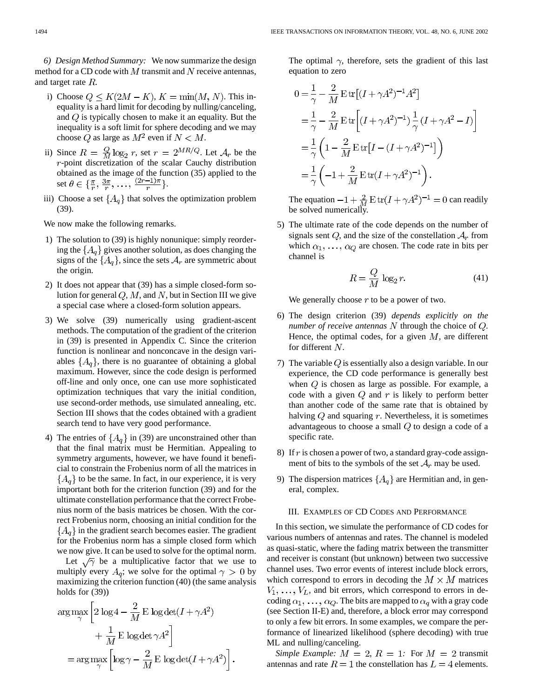*6) Design Method Summary:* We now summarize the design method for a CD code with  $M$  transmit and  $N$  receive antennas, and target rate  $R$ .

- i) Choose  $Q \leq K(2M K)$ ,  $K = \min(M, N)$ . This inequality is a hard limit for decoding by nulling/canceling, and  $Q$  is typically chosen to make it an equality. But the inequality is a soft limit for sphere decoding and we may choose  $Q$  as large as  $M^2$  even if  $N < M$ .
- ii) Since  $R = \frac{Q}{M} \log_2 r$ , set  $r = 2^{MR/Q}$ . Let  $\mathcal{A}_r$  be the -point discretization of the scalar Cauchy distribution obtained as the image of the function (35) applied to the set  $\theta \in {\frac{\pi}{r}, \frac{3\pi}{r}, \ldots, \frac{(2r-1)\pi}{r}}$ .
- iii) Choose a set  $\{A_q\}$  that solves the optimization problem (39).

We now make the following remarks.

- 1) The solution to (39) is highly nonunique: simply reordering the  ${A_q}$  gives another solution, as does changing the signs of the  $\{A_q\}$ , since the sets  $A_r$  are symmetric about the origin.
- 2) It does not appear that (39) has a simple closed-form solution for general  $Q, M$ , and N, but in Section III we give a special case where a closed-form solution appears.
- 3) We solve (39) numerically using gradient-ascent methods. The computation of the gradient of the criterion in (39) is presented in Appendix C. Since the criterion function is nonlinear and nonconcave in the design variables  $\{A_q\}$ , there is no guarantee of obtaining a global maximum. However, since the code design is performed off-line and only once, one can use more sophisticated optimization techniques that vary the initial condition, use second-order methods, use simulated annealing, etc. Section III shows that the codes obtained with a gradient search tend to have very good performance.
- 4) The entries of  $\{A_q\}$  in (39) are unconstrained other than that the final matrix must be Hermitian. Appealing to symmetry arguments, however, we have found it beneficial to constrain the Frobenius norm of all the matrices in  ${A_q}$  to be the same. In fact, in our experience, it is very important both for the criterion function (39) and for the ultimate constellation performance that the correct Frobenius norm of the basis matrices be chosen. With the correct Frobenius norm, choosing an initial condition for the  ${A_a}$  in the gradient search becomes easier. The gradient for the Frobenius norm has a simple closed form which we now give. It can be used to solve for the optimal norm.

Let  $\sqrt{\gamma}$  be a multiplicative factor that we use to multiply every  $A_q$ ; we solve for the optimal  $\gamma > 0$  by maximizing the criterion function (40) (the same analysis holds for (39))

$$
\arg \max_{\gamma} \left[ 2 \log 4 - \frac{2}{M} \mathbf{E} \log \det(I + \gamma A^2) + \frac{1}{M} \mathbf{E} \log \det \gamma A^2 \right]
$$

$$
= \arg \max_{\gamma} \left[ \log \gamma - \frac{2}{M} \mathbf{E} \log \det(I + \gamma A^2) \right].
$$

The optimal  $\gamma$ , therefore, sets the gradient of this last equation to zero

$$
0 = \frac{1}{\gamma} - \frac{2}{M} \operatorname{E} \operatorname{tr}[(I + \gamma A^2)^{-1} A^2]
$$
  
=  $\frac{1}{\gamma} - \frac{2}{M} \operatorname{E} \operatorname{tr}[(I + \gamma A^2)^{-1}) \frac{1}{\gamma} (I + \gamma A^2 - I)]$   
=  $\frac{1}{\gamma} \left( 1 - \frac{2}{M} \operatorname{E} \operatorname{tr}[I - (I + \gamma A^2)^{-1}] \right)$   
=  $\frac{1}{\gamma} \left( -1 + \frac{2}{M} \operatorname{E} \operatorname{tr}(I + \gamma A^2)^{-1} \right).$ 

The equation  $-1 + \frac{2}{M} E \text{tr}(I + \gamma A^2)^{-1} = 0$  can readily be solved numerically.

5) The ultimate rate of the code depends on the number of signals sent  $Q$ , and the size of the constellation  $A_r$  from which  $\alpha_1, \ldots, \alpha_Q$  are chosen. The code rate in bits per channel is

$$
R = \frac{Q}{M} \log_2 r.
$$
 (41)

We generally choose  $r$  to be a power of two.

- 6) The design criterion (39) *depends explicitly on the number of receive antennas*  $N$  through the choice of  $Q$ . Hence, the optimal codes, for a given  $M$ , are different for different  $N$ .
- 7) The variable  $Q$  is essentially also a design variable. In our experience, the CD code performance is generally best when  $Q$  is chosen as large as possible. For example, a code with a given  $Q$  and  $r$  is likely to perform better than another code of the same rate that is obtained by halving  $Q$  and squaring  $r$ . Nevertheless, it is sometimes advantageous to choose a small  $Q$  to design a code of a specific rate.
- 8) If  $r$  is chosen a power of two, a standard gray-code assignment of bits to the symbols of the set  $A_r$  may be used.
- 9) The dispersion matrices  $\{A_q\}$  are Hermitian and, in general, complex.

## III. EXAMPLES OF CD CODES AND PERFORMANCE

In this section, we simulate the performance of CD codes for various numbers of antennas and rates. The channel is modeled as quasi-static, where the fading matrix between the transmitter and receiver is constant (but unknown) between two successive channel uses. Two error events of interest include block errors, which correspond to errors in decoding the  $M \times M$  matrices  $V_1, \ldots, V_L$ , and bit errors, which correspond to errors in decoding  $\alpha_1, \ldots, \alpha_Q$ . The bits are mapped to  $\alpha_q$  with a gray code (see Section II-E) and, therefore, a block error may correspond to only a few bit errors. In some examples, we compare the performance of linearized likelihood (sphere decoding) with true ML and nulling/canceling.

*Simple Example:*  $M = 2$ ,  $R = 1$ : For  $M = 2$  transmit antennas and rate  $R = 1$  the constellation has  $L = 4$  elements.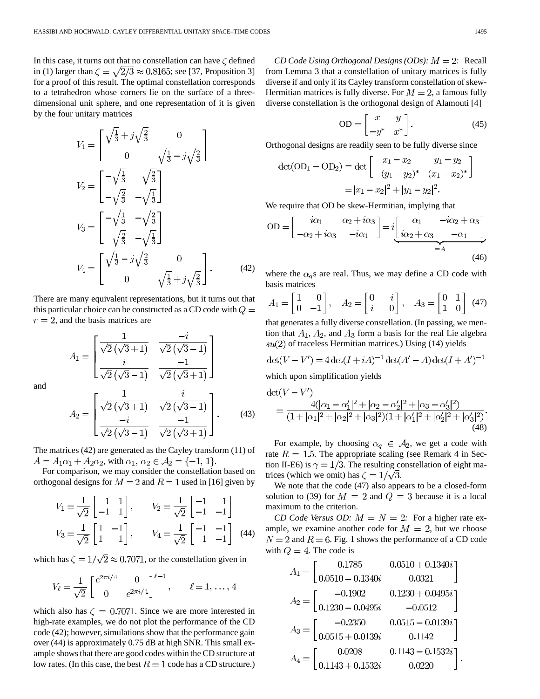In this case, it turns out that no constellation can have  $\zeta$  defined in (1) larger than  $\zeta = \sqrt{2/3} \approx 0.8165$ ; see [37, Proposition 3] for a proof of this result. The optimal constellation corresponds to a tetrahedron whose corners lie on the surface of a threedimensional unit sphere, and one representation of it is given by the four unitary matrices

$$
V_1 = \begin{bmatrix} \sqrt{\frac{1}{3}} + j\sqrt{\frac{2}{3}} & 0\\ 0 & \sqrt{\frac{1}{3}} - j\sqrt{\frac{2}{3}} \end{bmatrix}
$$
  
\n
$$
V_2 = \begin{bmatrix} -\sqrt{\frac{1}{3}} & \sqrt{\frac{2}{3}}\\ -\sqrt{\frac{2}{3}} & -\sqrt{\frac{1}{3}} \end{bmatrix}
$$
  
\n
$$
V_3 = \begin{bmatrix} -\sqrt{\frac{1}{3}} & -\sqrt{\frac{2}{3}}\\ \sqrt{\frac{2}{3}} & -\sqrt{\frac{1}{3}} \end{bmatrix}
$$
  
\n
$$
V_4 = \begin{bmatrix} \sqrt{\frac{1}{3}} - j\sqrt{\frac{2}{3}} & 0\\ 0 & \sqrt{\frac{1}{3}} + j\sqrt{\frac{2}{3}} \end{bmatrix}.
$$
 (42)

There are many equivalent representations, but it turns out that this particular choice can be constructed as a CD code with  $Q =$  $r = 2$ , and the basis matrices are

$$
A_1 = \begin{bmatrix} \frac{1}{\sqrt{2}(\sqrt{3}+1)} & \frac{-i}{\sqrt{2}(\sqrt{3}-1)} \\ \frac{i}{\sqrt{2}(\sqrt{3}-1)} & \frac{-1}{\sqrt{2}(\sqrt{3}+1)} \end{bmatrix}
$$

and

$$
A_2 = \begin{bmatrix} \frac{1}{\sqrt{2}(\sqrt{3}+1)} & \frac{i}{\sqrt{2}(\sqrt{3}-1)} \\ \frac{-i}{\sqrt{2}(\sqrt{3}-1)} & \frac{-1}{\sqrt{2}(\sqrt{3}+1)} \end{bmatrix} . \tag{43}
$$

The matrices (42) are generated as the Cayley transform (11) of  $A = A_1 \alpha_1 + A_2 \alpha_2$ , with  $\alpha_1, \alpha_2 \in A_2 = \{-1, 1\}.$ 

For comparison, we may consider the constellation based on orthogonal designs for  $M = 2$  and  $R = 1$  used in [16] given by

$$
V_1 = \frac{1}{\sqrt{2}} \begin{bmatrix} 1 & 1 \\ -1 & 1 \end{bmatrix}, \qquad V_2 = \frac{1}{\sqrt{2}} \begin{bmatrix} -1 & 1 \\ -1 & -1 \end{bmatrix}
$$
  

$$
V_3 = \frac{1}{\sqrt{2}} \begin{bmatrix} 1 & -1 \\ 1 & 1 \end{bmatrix}, \qquad V_4 = \frac{1}{\sqrt{2}} \begin{bmatrix} -1 & -1 \\ 1 & -1 \end{bmatrix}
$$
 (44)

which has  $\zeta = 1/\sqrt{2} \approx 0.7071$ , or the constellation given in

$$
V_{\ell} = \frac{1}{\sqrt{2}} \begin{bmatrix} e^{2\pi i/4} & 0\\ 0 & e^{2\pi i/4} \end{bmatrix}^{\ell-1}, \qquad \ell = 1, \ldots, 4
$$

which also has  $\zeta = 0.7071$ . Since we are more interested in high-rate examples, we do not plot the performance of the CD code (42); however, simulations show that the performance gain over (44) is approximately 0.75 dB at high SNR. This small example shows that there are good codes within the CD structure at low rates. (In this case, the best  $R = 1$  code has a CD structure.)

*CD Code Using Orthogonal Designs (ODs):*  $M = 2$ : Recall from Lemma 3 that a constellation of unitary matrices is fully diverse if and only if its Cayley transform constellation of skew-Hermitian matrices is fully diverse. For  $M = 2$ , a famous fully diverse constellation is the orthogonal design of Alamouti [4]

$$
OD = \begin{bmatrix} x & y \\ -y^* & x^* \end{bmatrix}.
$$
 (45)

Orthogonal designs are readily seen to be fully diverse since

$$
det(OD1 - OD2) = det \begin{bmatrix} x_1 - x_2 & y_1 - y_2 \ -(y_1 - y_2)^* & (x_1 - x_2)^* \end{bmatrix}
$$

$$
= |x_1 - x_2|^2 + |y_1 - y_2|^2.
$$

We require that OD be skew-Hermitian, implying that

$$
OD = \begin{bmatrix} i\alpha_1 & \alpha_2 + i\alpha_3 \\ -\alpha_2 + i\alpha_3 & -i\alpha_1 \end{bmatrix} = i \underbrace{\begin{bmatrix} \alpha_1 & -i\alpha_2 + \alpha_3 \\ i\alpha_2 + \alpha_3 & -\alpha_1 \end{bmatrix}}_{=A}
$$
\n(46)

where the  $\alpha_{q}s$  are real. Thus, we may define a CD code with basis matrices

$$
A_1 = \begin{bmatrix} 1 & 0 \\ 0 & -1 \end{bmatrix}, \quad A_2 = \begin{bmatrix} 0 & -i \\ i & 0 \end{bmatrix}, \quad A_3 = \begin{bmatrix} 0 & 1 \\ 1 & 0 \end{bmatrix} \tag{47}
$$

that generates a fully diverse constellation. (In passing, we mention that  $A_1$ ,  $A_2$ , and  $A_3$  form a basis for the real Lie algebra  $su(2)$  of traceless Hermitian matrices.) Using (14) yields

$$
\det(V - V') = 4 \det(I + iA)^{-1} \det(A' - A) \det(I + A')^{-1}
$$
  
which upon simplification yields

$$
\det(V - V') = \frac{4(|\alpha_1 - \alpha_1'|^2 + |\alpha_2 - \alpha_2'|^2 + |\alpha_3 - \alpha_3'|^2)}{(1 + |\alpha_1|^2 + |\alpha_2|^2 + |\alpha_3|^2)(1 + |\alpha_1'|^2 + |\alpha_2'|^2 + |\alpha_3'|^2)}.
$$
\n(48)

For example, by choosing  $\alpha_q \in A_2$ , we get a code with rate  $R = 1.5$ . The appropriate scaling (see Remark 4 in Section II-E6) is  $\gamma = 1/3$ . The resulting constellation of eight matrices (which we omit) has  $\zeta = 1/\sqrt{3}$ .

We note that the code (47) also appears to be a closed-form solution to (39) for  $M = 2$  and  $Q = 3$  because it is a local maximum to the criterion.

*CD Code Versus OD:*  $M = N = 2$ : For a higher rate example, we examine another code for  $M = 2$ , but we choose  $N = 2$  and  $R = 6$ . Fig. 1 shows the performance of a CD code with  $Q = 4$ . The code is

$$
A_1 = \begin{bmatrix} 0.1785 & 0.0510 + 0.1340i \\ 0.0510 - 0.1340i & 0.0321 \end{bmatrix}
$$

$$
A_2 = \begin{bmatrix} -0.1902 & 0.1230 + 0.0495i \\ 0.1230 - 0.0495i & -0.0512 \end{bmatrix}
$$

$$
A_3 = \begin{bmatrix} -0.2350 & 0.0515 - 0.0139i \\ 0.0515 + 0.0139i & 0.1142 \end{bmatrix}
$$

$$
A_4 = \begin{bmatrix} 0.0208 & 0.1143 - 0.1532i \\ 0.1143 + 0.1532i & 0.0220 \end{bmatrix}.
$$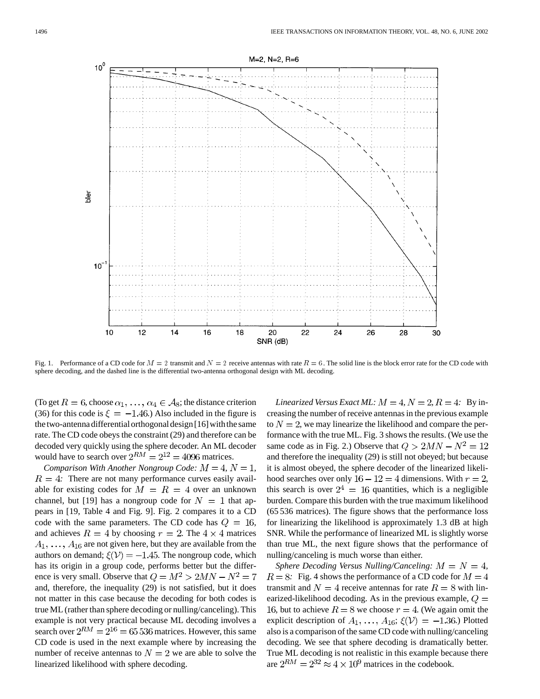

Fig. 1. Performance of a CD code for  $M = 2$  transmit and  $N = 2$  receive antennas with rate  $R = 6$ . The solid line is the block error rate for the CD code with sphere decoding, and the dashed line is the differential two-antenna orthogonal design with ML decoding.

(To get  $R = 6$ , choose  $\alpha_1, \ldots, \alpha_4 \in A_8$ ; the distance criterion (36) for this code is  $\xi = -1.46$ .) Also included in the figure is the two-antenna differential orthogonal design [16] with the same rate. The CD code obeys the constraint (29) and therefore can be decoded very quickly using the sphere decoder. An ML decoder would have to search over  $2^{RM} = 2^{12} = 4096$  matrices.

*Comparison With Another Nongroup Code:*  $M = 4$ ,  $N = 1$ ,  $R = 4$ : There are not many performance curves easily available for existing codes for  $M = R = 4$  over an unknown channel, but [19] has a nongroup code for  $N = 1$  that appears in [19, Table 4 and Fig. 9]. Fig. 2 compares it to a CD code with the same parameters. The CD code has  $Q = 16$ , and achieves  $R = 4$  by choosing  $r = 2$ . The  $4 \times 4$  matrices  $A_1, \ldots, A_{16}$  are not given here, but they are available from the authors on demand;  $\xi(\mathcal{V}) = -1.45$ . The nongroup code, which has its origin in a group code, performs better but the difference is very small. Observe that  $Q = M^2 > 2MN - N^2 = 7$ and, therefore, the inequality (29) is not satisfied, but it does not matter in this case because the decoding for both codes is true ML (rather than sphere decoding or nulling/canceling). This example is not very practical because ML decoding involves a search over  $2^{RM} = 2^{16} = 65536$  matrices. However, this same CD code is used in the next example where by increasing the number of receive antennas to  $N = 2$  we are able to solve the linearized likelihood with sphere decoding.

*Linearized Versus Exact ML:*  $M = 4$ ,  $N = 2$ ,  $R = 4$ : By increasing the number of receive antennas in the previous example to  $N = 2$ , we may linearize the likelihood and compare the performance with the true ML. Fig. 3 shows the results. (We use the same code as in Fig. 2.) Observe that  $Q > 2MN - N^2 = 12$ and therefore the inequality (29) is still not obeyed; but because it is almost obeyed, the sphere decoder of the linearized likelihood searches over only  $16 - 12 = 4$  dimensions. With  $r = 2$ , this search is over  $2^4 = 16$  quantities, which is a negligible burden. Compare this burden with the true maximum likelihood (65 536 matrices). The figure shows that the performance loss for linearizing the likelihood is approximately 1.3 dB at high SNR. While the performance of linearized ML is slightly worse than true ML, the next figure shows that the performance of nulling/canceling is much worse than either.

*Sphere Decoding Versus Nulling/Canceling:*  $M = N = 4$ ,  $R = 8$ : Fig. 4 shows the performance of a CD code for  $M = 4$ transmit and  $N = 4$  receive antennas for rate  $R = 8$  with linearized-likelihood decoding. As in the previous example,  $Q =$ 16, but to achieve  $R = 8$  we choose  $r = 4$ . (We again omit the explicit description of  $A_1, \ldots, A_{16}$ ;  $\xi(\mathcal{V}) = -1.36$ .) Plotted also is a comparison of the same CD code with nulling/canceling decoding. We see that sphere decoding is dramatically better. True ML decoding is not realistic in this example because there are  $2^{RM} = 2^{32} \approx 4 \times 10^9$  matrices in the codebook.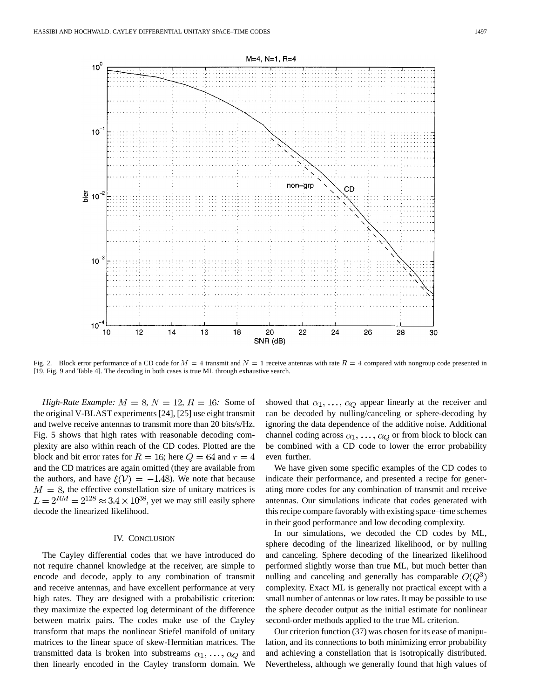

Fig. 2. Block error performance of a CD code for  $M = 4$  transmit and  $N = 1$  receive antennas with rate  $R = 4$  compared with nongroup code presented in [19, Fig. 9 and Table 4]. The decoding in both cases is true ML through exhaustive search.

*High-Rate Example:*  $M = 8$ ,  $N = 12$ ,  $R = 16$ : Some of the original V-BLAST experiments [24], [25] use eight transmit and twelve receive antennas to transmit more than 20 bits/s/Hz. Fig. 5 shows that high rates with reasonable decoding complexity are also within reach of the CD codes. Plotted are the block and bit error rates for  $R = 16$ ; here  $Q = 64$  and  $r = 4$ and the CD matrices are again omitted (they are available from the authors, and have  $\xi(\mathcal{V}) = -1.48$ . We note that because  $M = 8$ , the effective constellation size of unitary matrices is  $L = 2^{RM} = 2^{128} \approx 3.4 \times 10^{38}$ , yet we may still easily sphere decode the linearized likelihood.

# IV. CONCLUSION

The Cayley differential codes that we have introduced do not require channel knowledge at the receiver, are simple to encode and decode, apply to any combination of transmit and receive antennas, and have excellent performance at very high rates. They are designed with a probabilistic criterion: they maximize the expected log determinant of the difference between matrix pairs. The codes make use of the Cayley transform that maps the nonlinear Stiefel manifold of unitary matrices to the linear space of skew-Hermitian matrices. The transmitted data is broken into substreams  $\alpha_1, \ldots, \alpha_Q$  and then linearly encoded in the Cayley transform domain. We

showed that  $\alpha_1, \ldots, \alpha_Q$  appear linearly at the receiver and can be decoded by nulling/canceling or sphere-decoding by ignoring the data dependence of the additive noise. Additional channel coding across  $\alpha_1, \ldots, \alpha_Q$  or from block to block can be combined with a CD code to lower the error probability even further.

We have given some specific examples of the CD codes to indicate their performance, and presented a recipe for generating more codes for any combination of transmit and receive antennas. Our simulations indicate that codes generated with this recipe compare favorably with existing space–time schemes in their good performance and low decoding complexity.

In our simulations, we decoded the CD codes by ML, sphere decoding of the linearized likelihood, or by nulling and canceling. Sphere decoding of the linearized likelihood performed slightly worse than true ML, but much better than nulling and canceling and generally has comparable  $O(Q^3)$ complexity. Exact ML is generally not practical except with a small number of antennas or low rates. It may be possible to use the sphere decoder output as the initial estimate for nonlinear second-order methods applied to the true ML criterion.

Our criterion function (37) was chosen for its ease of manipulation, and its connections to both minimizing error probability and achieving a constellation that is isotropically distributed. Nevertheless, although we generally found that high values of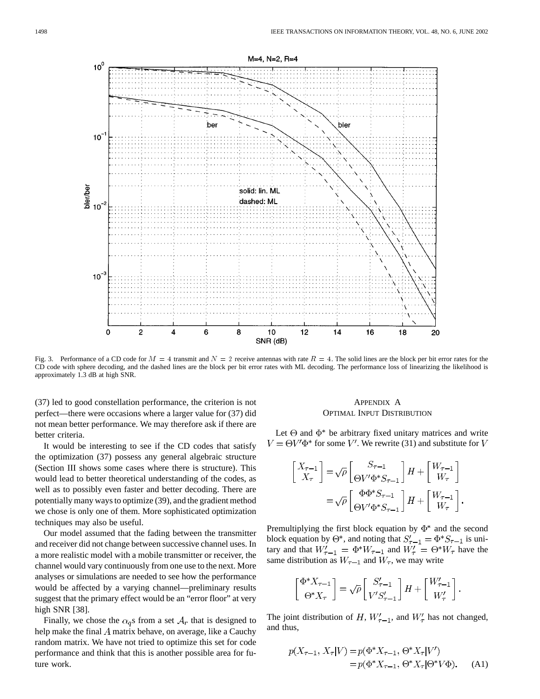

Fig. 3. Performance of a CD code for  $M = 4$  transmit and  $N = 2$  receive antennas with rate  $R = 4$ . The solid lines are the block per bit error rates for the CD code with sphere decoding, and the dashed lines are the block per bit error rates with ML decoding. The performance loss of linearizing the likelihood is approximately 1.3 dB at high SNR.

(37) led to good constellation performance, the criterion is not perfect—there were occasions where a larger value for (37) did not mean better performance. We may therefore ask if there are better criteria.

It would be interesting to see if the CD codes that satisfy the optimization (37) possess any general algebraic structure (Section III shows some cases where there is structure). This would lead to better theoretical understanding of the codes, as well as to possibly even faster and better decoding. There are potentially many ways to optimize (39), and the gradient method we chose is only one of them. More sophisticated optimization techniques may also be useful.

Our model assumed that the fading between the transmitter and receiver did not change between successive channel uses. In a more realistic model with a mobile transmitter or receiver, the channel would vary continuously from one use to the next. More analyses or simulations are needed to see how the performance would be affected by a varying channel—preliminary results suggest that the primary effect would be an "error floor" at very high SNR [38].

Finally, we chose the  $\alpha_q$ s from a set  $A_r$  that is designed to help make the final  $A$  matrix behave, on average, like a Cauchy random matrix. We have not tried to optimize this set for code performance and think that this is another possible area for future work.

# APPENDIX A OPTIMAL INPUT DISTRIBUTION

Let  $\Theta$  and  $\Phi^*$  be arbitrary fixed unitary matrices and write  $V = \Theta V' \Phi^*$  for some V'. We rewrite (31) and substitute for V

$$
\begin{split} \begin{bmatrix} X_{\tau-1} \\ X_{\tau} \end{bmatrix} =& \sqrt{\rho} \begin{bmatrix} S_{\tau-1} \\ \Theta V' \Phi^* S_{\tau-1} \end{bmatrix} H + \begin{bmatrix} W_{\tau-1} \\ W_{\tau} \end{bmatrix} \\ =& \sqrt{\rho} \begin{bmatrix} \Phi \Phi^* S_{\tau-1} \\ \Theta V' \Phi^* S_{\tau-1} \end{bmatrix} H + \begin{bmatrix} W_{\tau-1} \\ W_{\tau} \end{bmatrix}. \end{split}
$$

Premultiplying the first block equation by  $\Phi^*$  and the second block equation by  $\Theta^*$ , and noting that  $S'_{\tau-1} = \Phi^* S_{\tau-1}$  is unitary and that  $W'_{\tau-1} = \Phi^* W_{\tau-1}$  and  $W'_{\tau} = \Theta^* W_{\tau}$  have the same distribution as  $W_{\tau-1}$  and  $W_{\tau}$ , we may write

$$
\begin{bmatrix} \Phi^* X_{\tau-1} \\ \Theta^* X_{\tau} \end{bmatrix} = \sqrt{\rho} \begin{bmatrix} S'_{\tau-1} \\ V' S'_{\tau-1} \end{bmatrix} H + \begin{bmatrix} W'_{\tau-1} \\ W'_{\tau} \end{bmatrix}.
$$

The joint distribution of H,  $W'_{\tau-1}$ , and  $W'_{\tau}$  has not changed, and thus,

$$
p(X_{\tau-1}, X_{\tau}|V) = p(\Phi^* X_{\tau-1}, \Theta^* X_{\tau}|V')
$$
  
=  $p(\Phi^* X_{\tau-1}, \Theta^* X_{\tau}|\Theta^* V \Phi).$  (A1)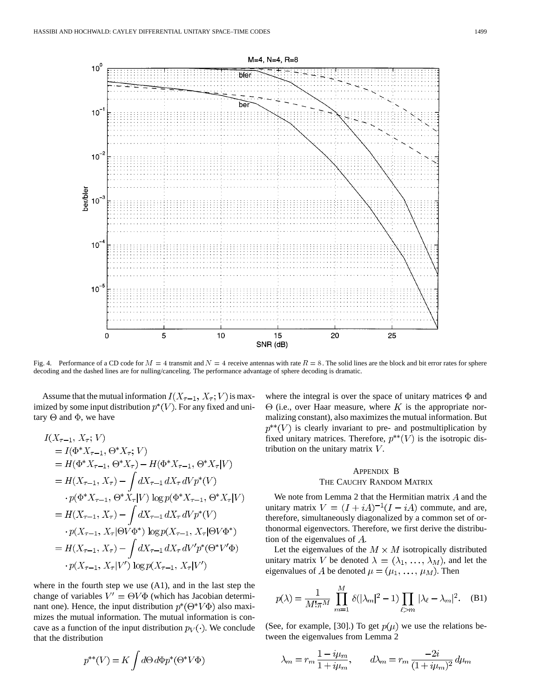

Fig. 4. Performance of a CD code for  $M = 4$  transmit and  $N = 4$  receive antennas with rate  $R = 8$ . The solid lines are the block and bit error rates for sphere decoding and the dashed lines are for nulling/canceling. The performance advantage of sphere decoding is dramatic.

Assume that the mutual information  $I(X_{\tau-1}, X_{\tau}; V)$  is maximized by some input distribution  $p^*(V)$ . For any fixed and unitary  $\Theta$  and  $\Phi$ , we have

$$
I(X_{\tau-1}, X_{\tau}; V)
$$
  
=  $I(\Phi^* X_{\tau-1}, \Theta^* X_{\tau}; V)$   
=  $H(\Phi^* X_{\tau-1}, \Theta^* X_{\tau}) - H(\Phi^* X_{\tau-1}, \Theta^* X_{\tau} | V)$   
=  $H(X_{\tau-1}, X_{\tau}) - \int dX_{\tau-1} dX_{\tau} dV p^*(V)$   
 $\cdot p(\Phi^* X_{\tau-1}, \Theta^* X_{\tau} | V) \log p(\Phi^* X_{\tau-1}, \Theta^* X_{\tau} | V)$   
=  $H(X_{\tau-1}, X_{\tau}) - \int dX_{\tau-1} dX_{\tau} dV p^*(V)$   
 $\cdot p(X_{\tau-1}, X_{\tau} | \Theta V \Phi^*) \log p(X_{\tau-1}, X_{\tau} | \Theta V \Phi^*)$   
=  $H(X_{\tau-1}, X_{\tau}) - \int dX_{\tau-1} dX_{\tau} dV' p^*(\Theta^* V' \Phi)$   
 $\cdot p(X_{\tau-1}, X_{\tau} | V') \log p(X_{\tau-1}, X_{\tau} | V')$ 

where in the fourth step we use (A1), and in the last step the change of variables  $V' = \Theta V \Phi$  (which has Jacobian determinant one). Hence, the input distribution  $p^*(\Theta^*V\Phi)$  also maximizes the mutual information. The mutual information is concave as a function of the input distribution  $p_V(\cdot)$ . We conclude that the distribution

 $p^{**}(V) = K \int d\Theta \, d\Phi p^*(\Theta^* V \Phi)$ 

where the integral is over the space of unitary matrices  $\Phi$  and  $\Theta$  (i.e., over Haar measure, where K is the appropriate normalizing constant), also maximizes the mutual information. But  $p^{**}(V)$  is clearly invariant to pre- and postmultiplication by fixed unitary matrices. Therefore,  $p^{**}(V)$  is the isotropic distribution on the unitary matrix  $V$ .

# APPENDIX B THE CAUCHY RANDOM MATRIX

We note from Lemma 2 that the Hermitian matrix  $A$  and the unitary matrix  $V = (I + iA)^{-1}(I - iA)$  commute, and are, therefore, simultaneously diagonalized by a common set of orthonormal eigenvectors. Therefore, we first derive the distribution of the eigenvalues of  $A$ .

Let the eigenvalues of the  $M \times M$  isotropically distributed unitary matrix V be denoted  $\lambda = (\lambda_1, \ldots, \lambda_M)$ , and let the eigenvalues of A be denoted  $\mu = (\mu_1, \ldots, \mu_M)$ . Then

$$
p(\lambda) = \frac{1}{M!\pi^M} \prod_{m=1}^M \delta(|\lambda_m|^2 - 1) \prod_{\ell > m} |\lambda_\ell - \lambda_m|^2.
$$
 (B1)

(See, for example, [30].) To get  $p(\mu)$  we use the relations between the eigenvalues from Lemma 2

$$
\lambda_m = r_m \frac{1 - i\mu_m}{1 + i\mu_m}, \qquad d\lambda_m = r_m \frac{-2i}{(1 + i\mu_m)^2} d\mu_m
$$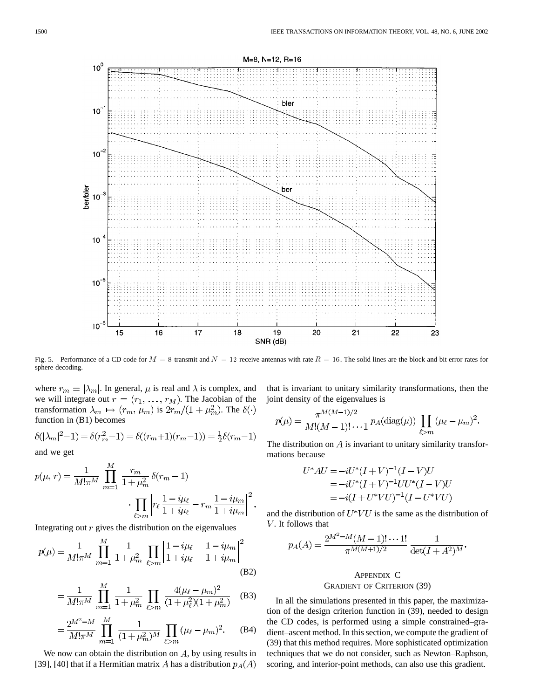

Fig. 5. Performance of a CD code for  $M = 8$  transmit and  $N = 12$  receive antennas with rate  $R = 16$ . The solid lines are the block and bit error rates for sphere decoding.

where  $r_m = |\lambda_m|$ . In general,  $\mu$  is real and  $\lambda$  is complex, and we will integrate out  $r = (r_1, \ldots, r_M)$ . The Jacobian of the transformation  $\lambda_m \mapsto (r_m, \mu_m)$  is  $2r_m/(1 + \mu_m^2)$ . The  $\delta(\cdot)$ function in (B1) becomes

$$
\delta(|\lambda_m|^2 - 1) = \delta(r_m^2 - 1) = \delta((r_m + 1)(r_m - 1)) = \frac{1}{2}\delta(r_m - 1)
$$

and we get

$$
p(\mu, r) = \frac{1}{M! \pi^M} \prod_{m=1}^M \frac{r_m}{1 + \mu_m^2} \delta(r_m - 1)
$$

$$
\cdot \prod_{\ell > m} \left| r_\ell \frac{1 - i\mu_\ell}{1 + i\mu_\ell} - r_m \frac{1 - i\mu_m}{1 + i\mu_m} \right|^2.
$$

Integrating out  $r$  gives the distribution on the eigenvalues

$$
p(\mu) = \frac{1}{M!\pi^M} \prod_{m=1}^M \frac{1}{1 + \mu_m^2} \prod_{\ell > m} \left| \frac{1 - i\mu_\ell}{1 + i\mu_\ell} - \frac{1 - i\mu_m}{1 + i\mu_m} \right|^2
$$
(B2)

$$
= \frac{1}{M!\pi^M} \prod_{m=1}^M \frac{1}{1 + \mu_m^2} \prod_{\ell > m} \frac{4(\mu_\ell - \mu_m)^2}{(1 + \mu_\ell^2)(1 + \mu_m^2)}
$$
(B3)

$$
= \frac{2^{M^2 - M}}{M! \pi^M} \prod_{m=1}^M \frac{1}{(1 + \mu_m^2)^M} \prod_{\ell > m} (\mu_\ell - \mu_m)^2.
$$
 (B4)

We now can obtain the distribution on  $A$ , by using results in [39], [40] that if a Hermitian matrix A has a distribution  $p_A(A)$  that is invariant to unitary similarity transformations, then the joint density of the eigenvalues is

$$
p(\mu) = \frac{\pi^{M(M-1)/2}}{M!(M-1)!\cdots 1} p_A(\text{diag}(\mu)) \prod_{\ell > m} (\mu_\ell - \mu_m)^2.
$$

The distribution on  $\tilde{A}$  is invariant to unitary similarity transformations because

$$
U^*AU = -iU^*(I+V)^{-1}(I-V)U
$$
  
=  $-iU^*(I+V)^{-1}UU^*(I-V)U$   
=  $-i(I+U^*VU)^{-1}(I-U^*VU)$ 

and the distribution of  $U^*VU$  is the same as the distribution of V. It follows that

$$
p_A(A) = \frac{2^{M^2 - M} (M - 1)! \cdots 1!}{\pi^{M(M+1)/2}} \frac{1}{\det(I + A^2)^M}
$$

# APPENDIX C GRADIENT OF CRITERION (39)

In all the simulations presented in this paper, the maximization of the design criterion function in (39), needed to design the CD codes, is performed using a simple constrained–gradient–ascent method. In this section, we compute the gradient of (39) that this method requires. More sophisticated optimization techniques that we do not consider, such as Newton–Raphson, scoring, and interior-point methods, can also use this gradient.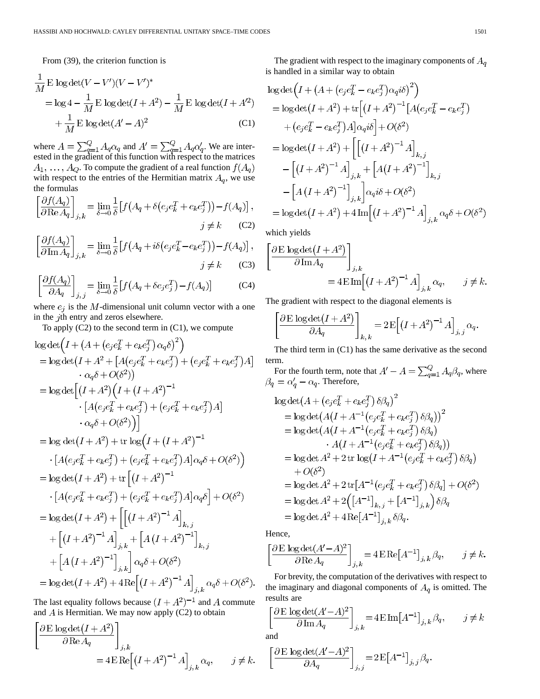From (39), the criterion function is

$$
\frac{1}{M} \mathbf{E} \log \det(V - V')(V - V')^*
$$
\n
$$
= \log 4 - \frac{1}{M} \mathbf{E} \log \det(I + A^2) - \frac{1}{M} \mathbf{E} \log \det(I + A'^2)
$$
\n
$$
+ \frac{1}{M} \mathbf{E} \log \det(A' - A)^2
$$
\n(C1)

where  $A = \sum_{q=1}^{Q} A_q \alpha_q$  and  $A' = \sum_{q=1}^{Q} A_q \alpha'_q$ . We are interested in the gradient of this function with respect to the matrices  $A_1, \ldots, A_Q$ . To compute the gradient of a real function  $f(A_q)$ with respect to the entries of the Hermitian matrix  $A_q$ , we use the formulas  $C \cap C \neq \lambda$ 

$$
\left[\frac{\partial f(A_q)}{\partial \text{Re} A_q}\right]_{j,k} = \lim_{\delta \to 0} \frac{1}{\delta} \left[ f\left(A_q + \delta\left(e_j e_k^T + e_k e_j^T\right)\right) - f(A_q) \right],
$$
  

$$
j \neq k \qquad (C2)
$$

$$
\left[\frac{\partial f(A_q)}{\partial \text{Im} A_q}\right]_{j,k} = \lim_{\delta \to 0} \frac{1}{\delta} \left[ f\left(A_q + i\delta\left(e_j e_k^T - e_k e_j^T\right)\right) - f(A_q) \right],
$$

$$
j \neq k \qquad \text{(C3)}
$$
\n
$$
j \neq k \qquad \text{(C4)}
$$

$$
\left[\frac{\partial f(A_q)}{\partial A_q}\right]_{j,j} = \lim_{\delta \to 0} \frac{1}{\delta} \left[ f\left(A_q + \delta e_j e_j^T\right) - f(A_q) \right] \tag{C4}
$$

where  $e_j$  is the  $M$ -dimensional unit column vector with a one in the  $j$ th entry and zeros elsewhere.

To apply  $(C2)$  to the second term in  $(C1)$ , we compute

$$
\log \det \left( I + (A + (e_j e_k^T + e_k e_j^T) \alpha_q \delta)^2 \right) \n= \log \det (I + A^2 + [A(e_j e_k^T + e_k e_j^T) + (e_j e_k^T + e_k e_j^T)A] \n+ \alpha_q \delta + O(\delta^2)) \n= \log \det \left[ (I + A^2) \left( I + (I + A^2)^{-1} \right. \right. \left. \left. \left[ A(e_j e_k^T + e_k e_j^T) + (e_j e_k^T + e_k e_j^T) A \right] \right. \right. \left. \left. \alpha_q \delta + O(\delta^2) \right) \right] \n= \log \det (I + A^2) + \text{tr } \log \left( I + (I + A^2)^{-1} \right. \left. \left[ A(e_j e_k^T + e_k e_j^T) + (e_j e_k^T + e_k e_j^T) A \right] \alpha_q \delta + O(\delta^2) \right) \n= \log \det (I + A^2) + \text{tr } \left[ (I + A^2)^{-1} \right. \left. \left. \left[ A(e_j e_k^T + e_k e_j^T) + (e_j e_k^T + e_k e_j^T) A \right] \alpha_q \delta \right] + O(\delta^2) \n= \log \det (I + A^2) + \left[ \left[ (I + A^2)^{-1} A \right]_{k,j} \right. \left. + \left[ (I + A^2)^{-1} A \right]_{j,k} + \left[ A(I + A^2)^{-1} \right]_{k,j} \right. \left. + \left[ A(I + A^2)^{-1} A \right]_{j,k} \alpha_q \delta + O(\delta^2) \right. \right) \n= \log \det (I + A^2) + 4 \text{Re} \left[ (I + A^2)^{-1} A \right]_{j,k} \alpha_q \delta + O(\delta^2).
$$

The last equality follows because  $(I + A^2)^{-1}$  and A commute and  $\overline{A}$  is Hermitian. We may now apply (C2) to obtain

$$
\begin{aligned} \left[ \frac{\partial \mathrm{E} \, \log \det(I + A^2)}{\partial \mathrm{Re} A_q} \right]_{j,k} \\ = 4 \mathrm{E} \, \mathrm{Re} \Big[ (I + A^2)^{-1} A \Big]_{j,k} \, \alpha_q, \qquad j \neq k. \end{aligned}
$$

The gradient with respect to the imaginary components of  $A_q$ is handled in a similar way to obtain

$$
\log \det \left( I + \left( A + (e_j e_k^T - e_k e_j^T) \alpha_q i \delta \right)^2 \right)
$$
  
= 
$$
\log \det (I + A^2) + \text{tr} \left[ \left( I + A^2 \right)^{-1} [A(e_j e_k^T - e_k e_j^T) + (e_j e_k^T - e_k e_j^T) A] \alpha_q i \delta \right] + O(\delta^2)
$$
  
= 
$$
\log \det (I + A^2) + \left[ \left[ \left( I + A^2 \right)^{-1} A \right]_{k,j}
$$

$$
- \left[ \left( I + A^2 \right)^{-1} A \right]_{j,k} + \left[ A(I + A^2)^{-1} \right]_{k,j}
$$

$$
- \left[ A(I + A^2)^{-1} \right]_{j,k} \right] \alpha_q i \delta + O(\delta^2)
$$

$$
= \log \det (I + A^2) + 4 \text{Im} \left[ \left( I + A^2 \right)^{-1} A \right]_{j,k} \alpha_q \delta + O(\delta^2)
$$

which yields

$$
\frac{\partial \mathbf{E} \log \det(I + A^2)}{\partial \operatorname{Im} A_q} \bigg]_{j,k} = 4 \mathbf{E} \operatorname{Im} \Big[ \big( I + A^2 \big)^{-1} A \Big]_{j,k} \alpha_q, \qquad j \neq k.
$$

The gradient with respect to the diagonal elements is

$$
\left[\frac{\partial \mathrm{E} \log \det(I + A^2)}{\partial A_q}\right]_{k,k} = 2 \mathrm{E}\Big[(I + A^2)^{-1} A\Big]_{j,j} \alpha_q.
$$

The third term in (C1) has the same derivative as the second term.

For the fourth term, note that  $A' - A = \sum_{q=1}^{Q} A_q \beta_q$ , where . Therefore,

$$
\begin{aligned}\n\log \det \left( A + \left( e_j e_k^T + e_k e_j^T \right) \delta \beta_q \right)^2 \\
&= \log \det \left( A \left( I + A^{-1} \left( e_j e_k^T + e_k e_j^T \right) \delta \beta_q \right) \right)^2 \\
&= \log \det \left( A \left( I + A^{-1} \left( e_j e_k^T + e_k e_j^T \right) \delta \beta_q \right) \right. \\
&\quad \left. \quad \left. \quad \left. \quad \quad \left. A \left( I + A^{-1} \left( e_j e_k^T + e_k e_j^T \right) \delta \beta_q \right) \right) \right. \\
&= \log \det A^2 + 2 \operatorname{tr} \log \left( I + A^{-1} \left( e_j e_k^T + e_k e_j^T \right) \delta \beta_q \right) \right. \\
&\quad \left. + O(\delta^2) \\
&= \log \det A^2 + 2 \operatorname{tr} \left[ A^{-1} \left( e_j e_k^T + e_k e_j^T \right) \delta \beta_q \right] + O(\delta^2) \\
&= \log \det A^2 + 2 \left( \left[ A^{-1} \right]_{k,j} + \left[ A^{-1} \right]_{j,k} \right) \delta \beta_q \\
&= \log \det A^2 + 4 \operatorname{Re} \left[ A^{-1} \right]_{i,k} \delta \beta_q.\n\end{aligned}
$$

Hence,

$$
\left[\frac{\partial \operatorname{E}\log\det(A'-A)^2}{\partial \operatorname{Re} A_q}\right]_{j,k} = 4\operatorname{E}\operatorname{Re}\left[A^{-1}\right]_{j,k} \beta_q, \qquad j \neq k.
$$

For brevity, the computation of the derivatives with respect to the imaginary and diagonal components of  $A_q$  is omitted. The results are

$$
\left[\frac{\partial \mathrm{E} \, \log \det(A' - A)^2}{\partial \mathrm{Im} A_q}\right]_{j,k} = 4 \mathrm{E} \, \mathrm{Im} \big[A^{-1}\big]_{j,k} \, \beta_q, \qquad j \neq k
$$

and

$$
\left[\frac{\partial \operatorname{E}\log\det(A'-A)^2}{\partial A_q}\right]_{j,\,j}\!=\!2\operatorname{E}\!\left[A^{-1}\right]_{j,\,j}\beta_q
$$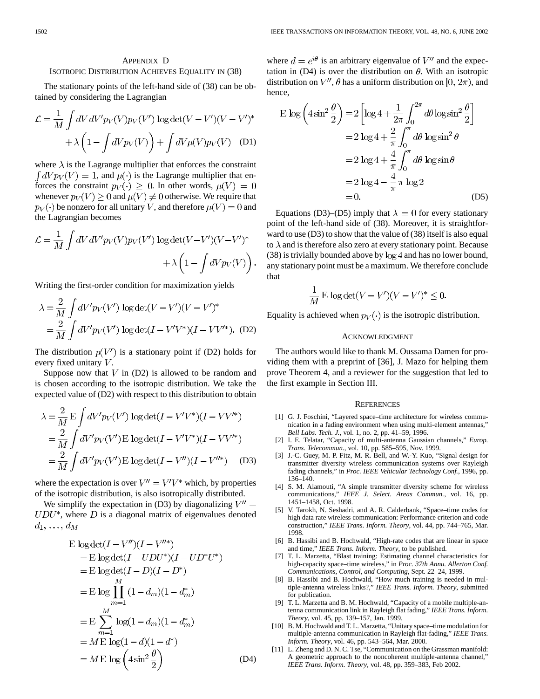## APPENDIX D

# ISOTROPIC DISTRIBUTION ACHIEVES EQUALITY IN (38)

The stationary points of the left-hand side of (38) can be obtained by considering the Lagrangian

$$
\mathcal{L} = \frac{1}{M} \int dV \, dV' p_V(V) p_V(V') \, \log \det(V - V')(V - V')^*
$$

$$
+ \lambda \left( 1 - \int dV p_V(V) \right) + \int dV \mu(V) p_V(V) \quad (D1)
$$

where  $\lambda$  is the Lagrange multiplier that enforces the constraint  $\int dV p_V(V) = 1$ , and  $\mu(\cdot)$  is the Lagrange multiplier that enforces the constraint  $p_V(\cdot) \geq 0$ . In other words,  $\mu(V) = 0$ whenever  $p_V(V) \geq 0$  and  $\mu(V) \neq 0$  otherwise. We require that  $p_V(\cdot)$  be nonzero for all unitary V, and therefore  $\mu(V) = 0$  and the Lagrangian becomes

$$
\mathcal{L} = \frac{1}{M} \int dV \, dV' p_V(V) p_V(V') \log \det(V - V')(V - V')^* + \lambda \left(1 - \int dV p_V(V)\right).
$$

Writing the first-order condition for maximization yields

$$
\lambda = \frac{2}{M} \int dV' p_V(V') \log \det(V - V')(V - V')^*
$$
  
= 
$$
\frac{2}{M} \int dV' p_V(V') \log \det(I - V'V^*)(I - VV'^*).
$$
 (D2)

The distribution  $p(V')$  is a stationary point if (D2) holds for every fixed unitary  $V$ .

Suppose now that  $V$  in (D2) is allowed to be random and is chosen according to the isotropic distribution. We take the expected value of (D2) with respect to this distribution to obtain

$$
\lambda = \frac{2}{M} \mathcal{E} \int dV' p_V(V') \log \det(I - V'V^*) (I - VV'^*)
$$
  
=  $\frac{2}{M} \int dV' p_V(V') \mathcal{E} \log \det(I - V'V^*) (I - VV'^*)$   
=  $\frac{2}{M} \int dV' p_V(V') \mathcal{E} \log \det(I - V'') (I - V''^*)$  (D3)

where the expectation is over  $V'' = V'V^*$  which, by properties of the isotropic distribution, is also isotropically distributed.

We simplify the expectation in (D3) by diagonalizing  $V'' =$  $UDU^*$ , where  $D$  is a diagonal matrix of eigenvalues denoted  $d_1, \ldots, d_M$ 

$$
\begin{aligned}\n\text{E log det}(I - V'')(I - V''^*) \\
&= \text{E log det}(I - UDU^*)(I - UD^*U^*) \\
&= \text{E log det}(I - D)(I - D^*) \\
&= \text{E log }\prod_{m=1}^{M} (1 - d_m)(1 - d_m^*) \\
&= \text{E }\sum_{m=1}^{M} \log(1 - d_m)(1 - d_m^*) \\
&= M \text{E log}(1 - d)(1 - d^*) \\
&= M \text{E log}\left(4\sin^2\frac{\theta}{2}\right)\n\end{aligned}
$$
\n(D4)

where  $d = e^{i\theta}$  is an arbitrary eigenvalue of V'' and the expectation in (D4) is over the distribution on  $\theta$ . With an isotropic distribution on  $V''$ ,  $\theta$  has a uniform distribution on [0,  $2\pi$ ), and hence,

$$
\begin{aligned} \text{E}\,\log\left(4\sin^2\frac{\theta}{2}\right) &= 2\left[\log 4 + \frac{1}{2\pi} \int_0^{2\pi} d\theta \log \sin^2\frac{\theta}{2}\right] \\ &= 2\,\log 4 + \frac{2}{\pi} \int_0^{\pi} d\theta \,\log \sin^2\theta \\ &= 2\,\log 4 + \frac{4}{\pi} \int_0^{\pi} d\theta \,\log \sin\theta \\ &= 2\,\log 4 - \frac{4}{\pi}\,\pi \,\log 2 \\ &= 0. \end{aligned}
$$

Equations (D3)–(D5) imply that  $\lambda = 0$  for every stationary point of the left-hand side of (38). Moreover, it is straightforward to use (D3) to show that the value of (38) itself is also equal to  $\lambda$  and is therefore also zero at every stationary point. Because  $(38)$  is trivially bounded above by  $log 4$  and has no lower bound, any stationary point must be a maximum. We therefore conclude that

$$
\frac{1}{M} \mathbf{E} \log \det(V - V')(V - V')^* \le 0.
$$

Equality is achieved when  $p_V(\cdot)$  is the isotropic distribution.

## ACKNOWLEDGMENT

The authors would like to thank M. Oussama Damen for providing them with a preprint of [36], J. Mazo for helping them prove Theorem 4, and a reviewer for the suggestion that led to the first example in Section III.

#### **REFERENCES**

- [1] G. J. Foschini, "Layered space–time architecture for wireless communication in a fading environment when using multi-element antennas," *Bell Labs. Tech. J.*, vol. 1, no. 2, pp. 41–59, 1996.
- [2] I. E. Telatar, "Capacity of multi-antenna Gaussian channels," *Europ. Trans. Telecommun.*, vol. 10, pp. 585–595, Nov. 1999.
- [3] J.-C. Guey, M. P. Fitz, M. R. Bell, and W.-Y. Kuo, "Signal design for transmitter diversity wireless communication systems over Rayleigh fading channels," in *Proc. IEEE Vehicular Technology Conf.*, 1996, pp. 136–140.
- [4] S. M. Alamouti, "A simple transmitter diversity scheme for wireless communications," *IEEE J. Select. Areas Commun.*, vol. 16, pp. 1451–1458, Oct. 1998.
- [5] V. Tarokh, N. Seshadri, and A. R. Calderbank, "Space–time codes for high data rate wireless communication: Performance criterion and code construction," *IEEE Trans. Inform. Theory*, vol. 44, pp. 744–765, Mar. 1998.
- [6] B. Hassibi and B. Hochwald, "High-rate codes that are linear in space and time," *IEEE Trans. Inform. Theory*, to be published.
- [7] T. L. Marzetta, "Blast training: Estimating channel characteristics for high-capacity space–time wireless," in *Proc. 37th Annu. Allerton Conf. Communications, Control, and Computing*, Sept. 22–24, 1999.
- [8] B. Hassibi and B. Hochwald, "How much training is needed in multiple-antenna wireless links?," *IEEE Trans. Inform. Theory*, submitted for publication.
- [9] T. L. Marzetta and B. M. Hochwald, "Capacity of a mobile multiple-antenna communication link in Rayleigh flat fading," *IEEE Trans. Inform. Theory*, vol. 45, pp. 139–157, Jan. 1999.
- [10] B. M. Hochwald and T. L. Marzetta, "Unitary space–time modulation for multiple-antenna communication in Rayleigh flat-fading," *IEEE Trans. Inform. Theory*, vol. 46, pp. 543–564, Mar. 2000.
- [11] L. Zheng and D. N. C. Tse, "Communication on the Grassman manifold: A geometric approach to the noncoherent multiple-antenna channel," *IEEE Trans. Inform. Theory*, vol. 48, pp. 359–383, Feb 2002.